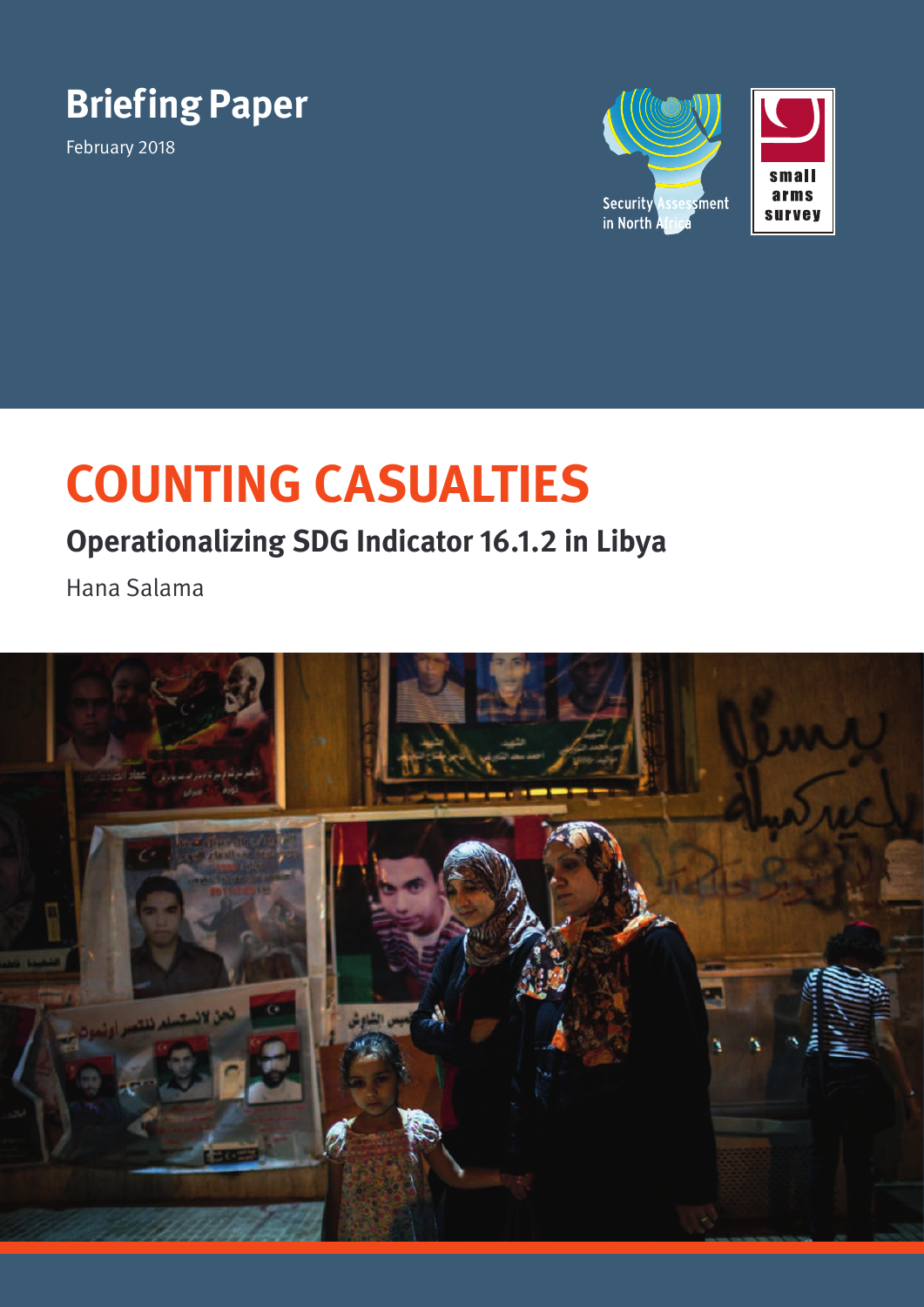

February 2018



# **Counting Casualties**

## **Operationalizing SDG Indicator 16.1.2 in Libya**

Hana Salama

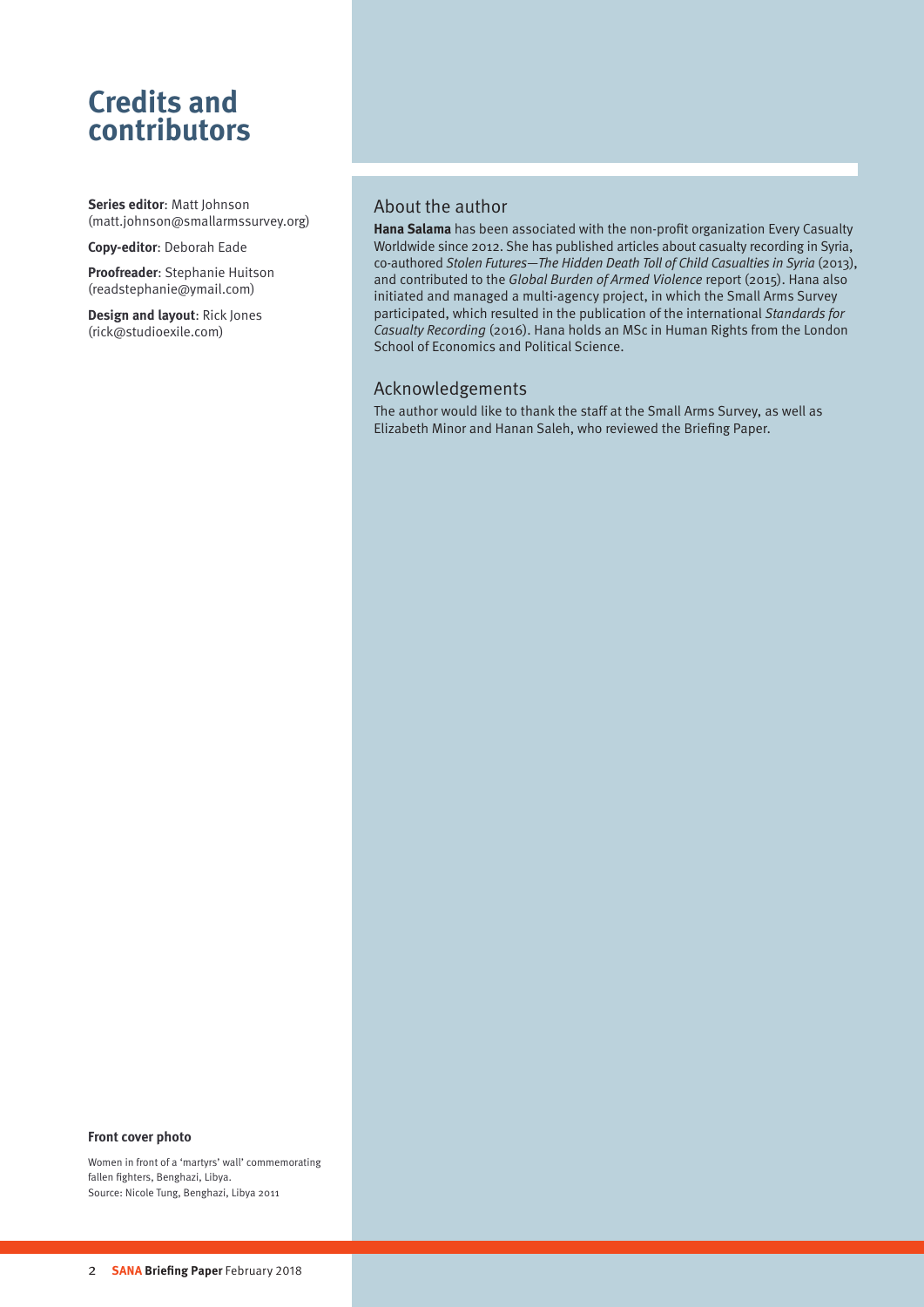## **Credits and contributors**

**Series editor**: Matt Johnson ([matt.johnson@smallarmssurvey.org\)](mailto:matt.johnson%40smallarmssurvey.org?subject=)

**Copy-editor**: Deborah Eade

**Proofreader**: Stephanie Huitson ([readstephanie@ymail.com](mailto:readstephanie%40ymail.com?subject=))

**Design and layout**: Rick Jones ([rick@studioexile.com](mailto:rick%40studioexile.com?subject=Enquiry))

#### About the author

**Hana Salama** has been associated with the non-profit organization Every Casualty Worldwide since 2012. She has published articles about casualty recording in Syria, co-authored *Stolen Futures—The Hidden Death Toll of Child Casualties in Syria* (2013), and contributed to the *Global Burden of Armed Violence* report (2015). Hana also initiated and managed a multi-agency project, in which the Small Arms Survey participated, which resulted in the publication of the international *Standards for Casualty Recording* (2016). Hana holds an MSc in Human Rights from the London School of Economics and Political Science.

#### Acknowledgements

The author would like to thank the staff at the Small Arms Survey, as well as Elizabeth Minor and Hanan Saleh, who reviewed the Briefing Paper.

#### **Front cover photo**

Women in front of a 'martyrs' wall' commemorating fallen fighters, Benghazi, Libya. Source: Nicole Tung, Benghazi, Libya 2011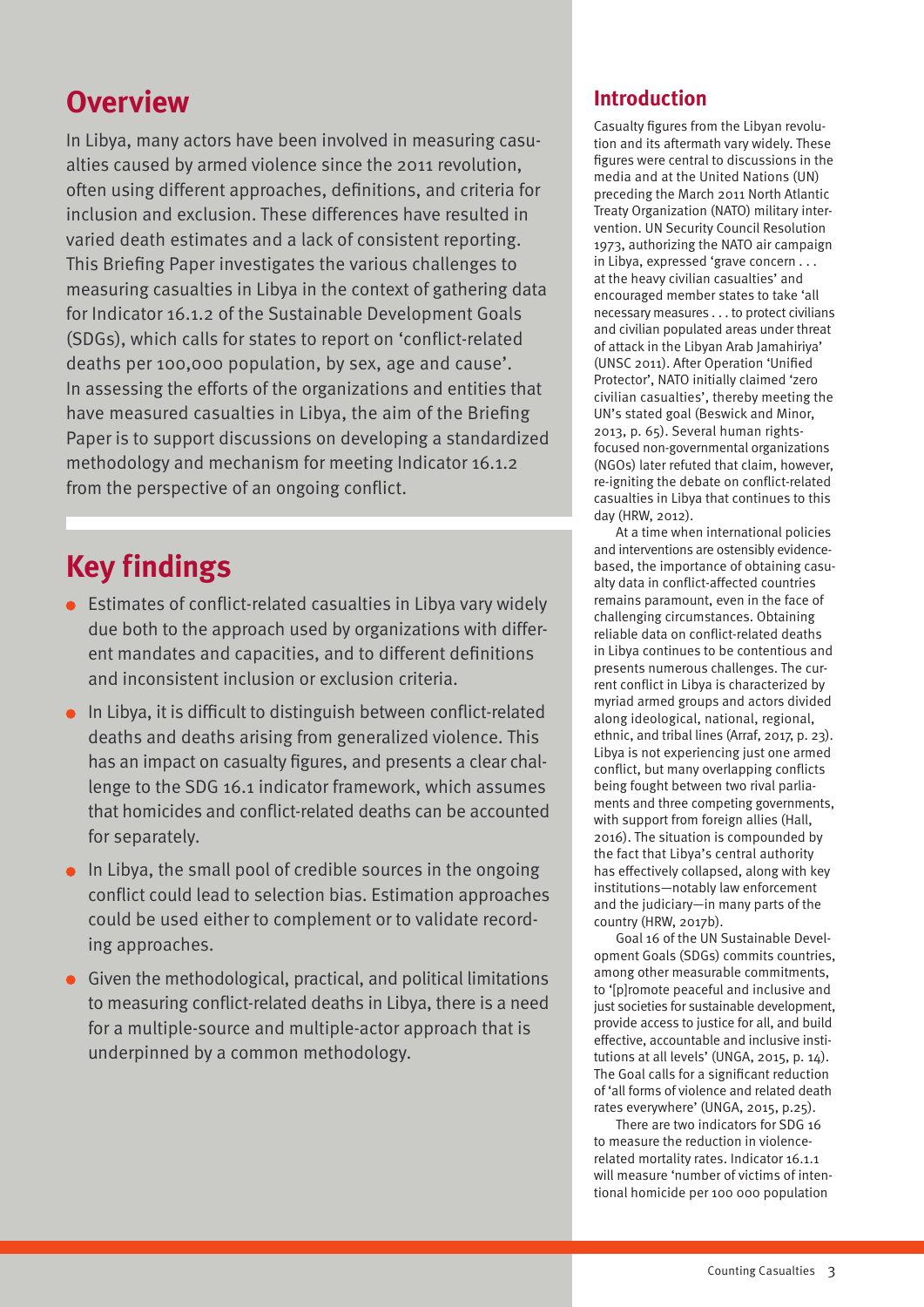## **Overview**

In Libya, many actors have been involved in measuring casualties caused by armed violence since the 2011 revolution, often using different approaches, definitions, and criteria for inclusion and exclusion. These differences have resulted in varied death estimates and a lack of consistent reporting. This Briefing Paper investigates the various challenges to measuring casualties in Libya in the context of gathering data for Indicator 16.1.2 of the Sustainable Development Goals (SDGs), which calls for states to report on 'conflict-related deaths per 100,000 population, by sex, age and cause'. In assessing the efforts of the organizations and entities that have measured casualties in Libya, the aim of the Briefing Paper is to support discussions on developing a standardized methodology and mechanism for meeting Indicator 16.1.2 from the perspective of an ongoing conflict.

## **Key findings**

- Estimates of conflict-related casualties in Libya vary widely due both to the approach used by organizations with different mandates and capacities, and to different definitions and inconsistent inclusion or exclusion criteria.
- In Libya, it is difficult to distinguish between conflict-related deaths and deaths arising from generalized violence. This has an impact on casualty figures, and presents a clear challenge to the SDG 16.1 indicator framework, which assumes that homicides and conflict-related deaths can be accounted for separately.
- $\bullet$  In Libya, the small pool of credible sources in the ongoing conflict could lead to selection bias. Estimation approaches could be used either to complement or to validate recording approaches.
- Given the methodological, practical, and political limitations to measuring conflict-related deaths in Libya, there is a need for a multiple-source and multiple-actor approach that is underpinned by a common methodology.

## **Introduction**

Casualty figures from the Libyan revolution and its aftermath vary widely. These figures were central to discussions in the media and at the United Nations (UN) preceding the March 2011 North Atlantic Treaty Organization (NATO) military intervention. UN Security Council Resolution 1973, authorizing the NATO air campaign in Libya, expressed 'grave concern . . . at the heavy civilian casualties' and encouraged member states to take 'all necessary measures . . . to protect civilians and civilian populated areas under threat of attack in the Libyan Arab Jamahiriya' (UNSC 2011). After Operation 'Unified Protector', NATO initially claimed 'zero civilian casualties', thereby meeting the UN's stated goal (Beswick and Minor, 2013, p. 65). Several human rightsfocused non-governmental organizations (NGOs) later refuted that claim, however, re-igniting the debate on conflict-related casualties in Libya that continues to this day (HRW, 2012).

At a time when international policies and interventions are ostensibly evidencebased, the importance of obtaining casualty data in conflict-affected countries remains paramount, even in the face of challenging circumstances. Obtaining reliable data on conflict-related deaths in Libya continues to be contentious and presents numerous challenges. The current conflict in Libya is characterized by myriad armed groups and actors divided along ideological, national, regional, ethnic, and tribal lines (Arraf, 2017, p. 23). Libya is not experiencing just one armed conflict, but many overlapping conflicts being fought between two rival parliaments and three competing governments, with support from foreign allies (Hall, 2016). The situation is compounded by the fact that Libya's central authority has effectively collapsed, along with key institutions—notably law enforcement and the judiciary—in many parts of the country (HRW, 2017b).

Goal 16 of the UN Sustainable Development Goals (SDGs) commits countries, among other measurable commitments, to '[p]romote peaceful and inclusive and just societies for sustainable development, provide access to justice for all, and build effective, accountable and inclusive institutions at all levels' (UNGA, 2015, p. 14). The Goal calls for a significant reduction of 'all forms of violence and related death rates everywhere' (UNGA, 2015, p.25).

There are two indicators for SDG 16 to measure the reduction in violencerelated mortality rates. Indicator 16.1.1 will measure 'number of victims of intentional homicide per 100 000 population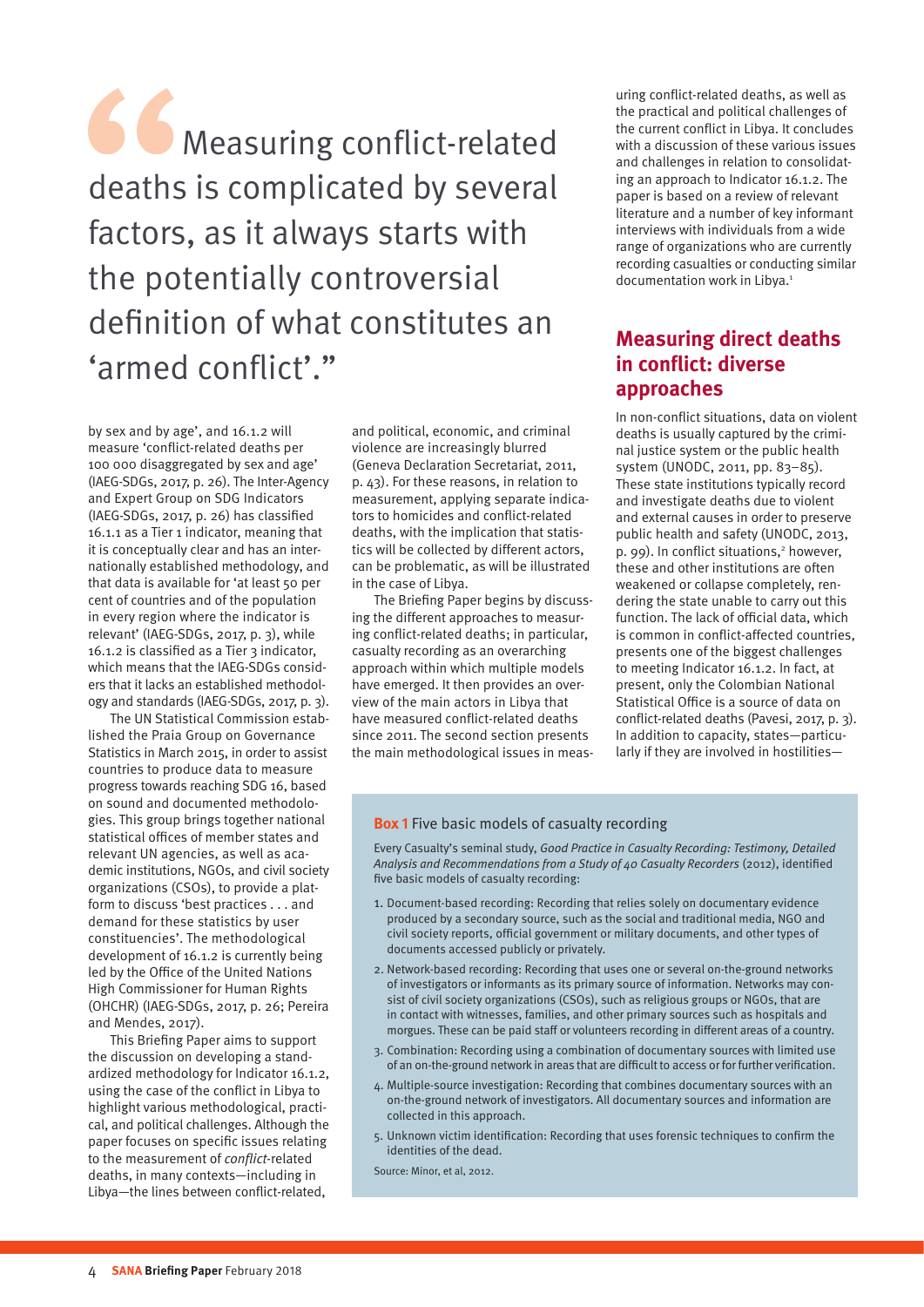**66** Measuring conflict-related deaths is complicated by several factors, as it always starts with the potentially controversial definition of what constitutes an 'armed conflict'."

by sex and by age', and 16.1.2 will measure 'conflict-related deaths per 100 000 disaggregated by sex and age' (IAEG-SDGs, 2017, p. 26). The Inter-Agency and Expert Group on SDG Indicators (IAEG-SDGs, 2017, p. 26) has classified 16.1.1 as a Tier 1 indicator, meaning that it is conceptually clear and has an internationally established methodology, and that data is available for 'at least 50 per cent of countries and of the population in every region where the indicator is relevant' (IAEG-SDGs, 2017, p. 3), while 16.1.2 is classified as a Tier 3 indicator, which means that the IAEG-SDGs considers that it lacks an established methodology and standards (IAEG-SDGs, 2017, p. 3).

The UN Statistical Commission established the Praia Group on Governance Statistics in March 2015, in order to assist countries to produce data to measure progress towards reaching SDG 16, based on sound and documented methodologies. This group brings together national statistical offices of member states and relevant UN agencies, as well as academic institutions, NGOs, and civil society organizations (CSOs), to provide a platform to discuss 'best practices . . . and demand for these statistics by user constituencies'. The methodological development of 16.1.2 is currently being led by the Office of the United Nations High Commissioner for Human Rights (OHCHR) (IAEG-SDGs, 2017, p. 26; Pereira and Mendes, 2017).

This Briefing Paper aims to support the discussion on developing a standardized methodology for Indicator 16.1.2, using the case of the conflict in Libya to highlight various methodological, practical, and political challenges. Although the paper focuses on specific issues relating to the measurement of *conflict*-related deaths, in many contexts—including in Libya—the lines between conflict-related,

and political, economic, and criminal violence are increasingly blurred (Geneva Declaration Secretariat, 2011, p. 43). For these reasons, in relation to measurement, applying separate indicators to homicides and conflict-related deaths, with the implication that statistics will be collected by different actors, can be problematic, as will be illustrated in the case of Libya.

The Briefing Paper begins by discussing the different approaches to measuring conflict-related deaths; in particular, casualty recording as an overarching approach within which multiple models have emerged. It then provides an overview of the main actors in Libya that have measured conflict-related deaths since 2011. The second section presents the main methodological issues in measuring conflict-related deaths, as well as the practical and political challenges of the current conflict in Libya. It concludes with a discussion of these various issues and challenges in relation to consolidating an approach to Indicator 16.1.2. The paper is based on a review of relevant literature and a number of key informant interviews with individuals from a wide range of organizations who are currently recording casualties or conducting similar documentation work in Libya.<sup>1</sup>

## **Measuring direct deaths in conflict: diverse approaches**

In non-conflict situations, data on violent deaths is usually captured by the criminal justice system or the public health system (UNODC, 2011, pp. 83–85). These state institutions typically record and investigate deaths due to violent and external causes in order to preserve public health and safety (UNODC, 2013, p. 99). In conflict situations,<sup>2</sup> however, these and other institutions are often weakened or collapse completely, rendering the state unable to carry out this function. The lack of official data, which is common in conflict-affected countries, presents one of the biggest challenges to meeting Indicator 16.1.2. In fact, at present, only the Colombian National Statistical Office is a source of data on conflict-related deaths (Pavesi, 2017, p. 3). In addition to capacity, states—particularly if they are involved in hostilities—

#### **Box 1** Five basic models of casualty recording

Every Casualty's seminal study, *Good Practice in Casualty Recording: Testimony, Detailed Analysis and Recommendations from a Study of 40 Casualty Recorders* (2012), identified five basic models of casualty recording:

- 1. Document-based recording: Recording that relies solely on documentary evidence produced by a secondary source, such as the social and traditional media, NGO and civil society reports, official government or military documents, and other types of documents accessed publicly or privately.
- 2. Network-based recording: Recording that uses one or several on-the-ground networks of investigators or informants as its primary source of information. Networks may consist of civil society organizations (CSOs), such as religious groups or NGOs, that are in contact with witnesses, families, and other primary sources such as hospitals and morgues. These can be paid staff or volunteers recording in different areas of a country.
- 3. Combination: Recording using a combination of documentary sources with limited use of an on-the-ground network in areas that are difficult to access or for further verification.
- 4. Multiple-source investigation: Recording that combines documentary sources with an on-the-ground network of investigators. All documentary sources and information are collected in this approach.
- 5. Unknown victim identification: Recording that uses forensic techniques to confirm the identities of the dead.

Source: Minor, et al, 2012.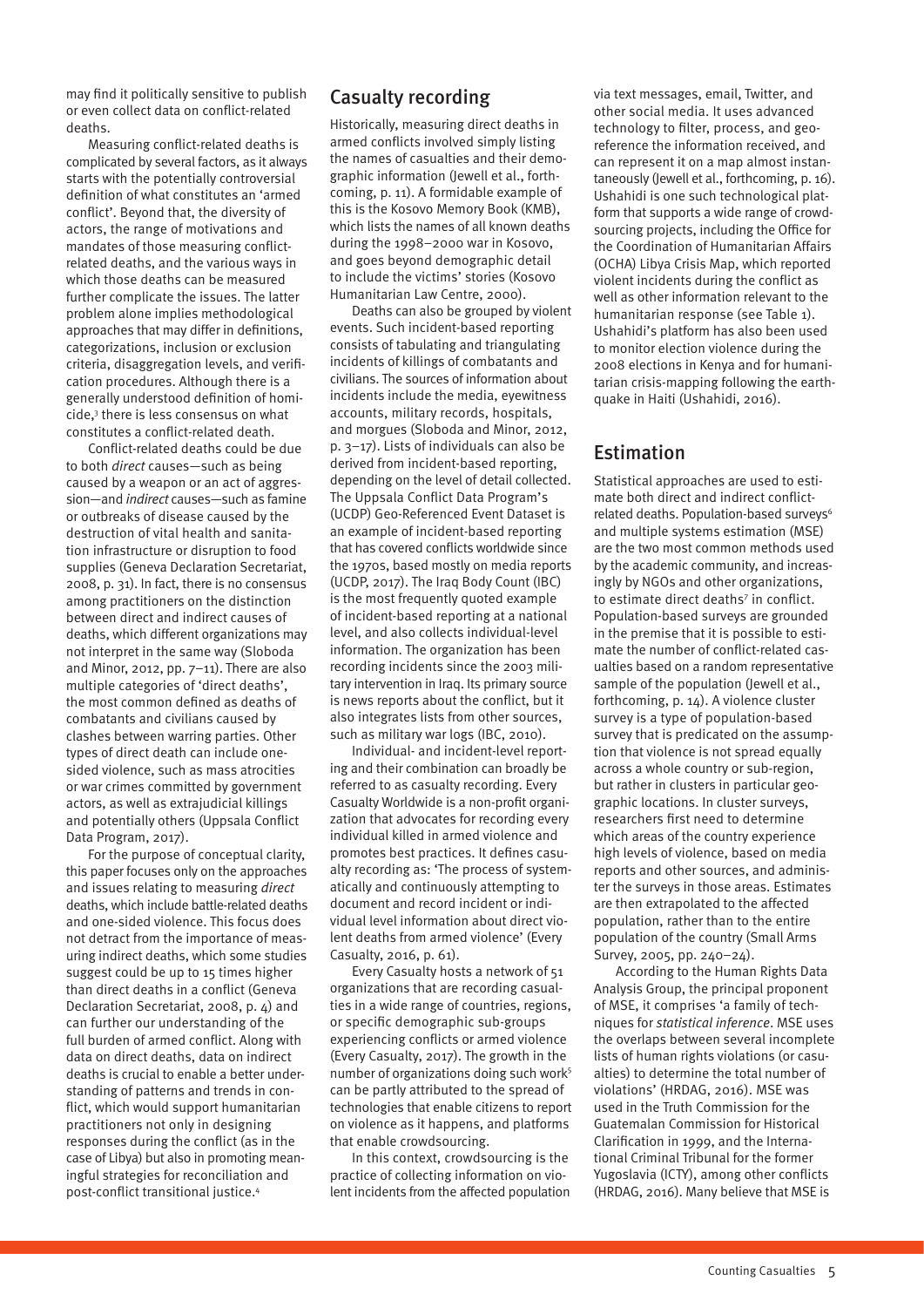may find it politically sensitive to publish or even collect data on conflict-related deaths.

Measuring conflict-related deaths is complicated by several factors, as it always starts with the potentially controversial definition of what constitutes an 'armed conflict'. Beyond that, the diversity of actors, the range of motivations and mandates of those measuring conflictrelated deaths, and the various ways in which those deaths can be measured further complicate the issues. The latter problem alone implies methodological approaches that may differ in definitions, categorizations, inclusion or exclusion criteria, disaggregation levels, and verification procedures. Although there is a generally understood definition of homicide,<sup>3</sup> there is less consensus on what constitutes a conflict-related death.

Conflict-related deaths could be due to both *direct* causes—such as being caused by a weapon or an act of aggression—and *indirect* causes—such as famine or outbreaks of disease caused by the destruction of vital health and sanitation infrastructure or disruption to food supplies (Geneva Declaration Secretariat, 2008, p. 31). In fact, there is no consensus among practitioners on the distinction between direct and indirect causes of deaths, which different organizations may not interpret in the same way (Sloboda and Minor, 2012, pp. 7–11). There are also multiple categories of 'direct deaths', the most common defined as deaths of combatants and civilians caused by clashes between warring parties. Other types of direct death can include onesided violence, such as mass atrocities or war crimes committed by government actors, as well as extrajudicial killings and potentially others (Uppsala Conflict Data Program, 2017).

For the purpose of conceptual clarity, this paper focuses only on the approaches and issues relating to measuring *direct*  deaths, which include battle-related deaths and one-sided violence. This focus does not detract from the importance of measuring indirect deaths, which some studies suggest could be up to 15 times higher than direct deaths in a conflict (Geneva Declaration Secretariat, 2008, p. 4) and can further our understanding of the full burden of armed conflict. Along with data on direct deaths, data on indirect deaths is crucial to enable a better understanding of patterns and trends in conflict, which would support humanitarian practitioners not only in designing responses during the conflict (as in the case of Libya) but also in promoting meaningful strategies for reconciliation and post-conflict transitional justice.4

### Casualty recording

Historically, measuring direct deaths in armed conflicts involved simply listing the names of casualties and their demographic information (Jewell et al., forthcoming, p. 11). A formidable example of this is the Kosovo Memory Book (KMB), which lists the names of all known deaths during the 1998–2000 war in Kosovo, and goes beyond demographic detail to include the victims' stories (Kosovo Humanitarian Law Centre, 2000).

Deaths can also be grouped by violent events. Such incident-based reporting consists of tabulating and triangulating incidents of killings of combatants and civilians. The sources of information about incidents include the media, eyewitness accounts, military records, hospitals, and morgues (Sloboda and Minor, 2012, p. 3–17). Lists of individuals can also be derived from incident-based reporting, depending on the level of detail collected. The Uppsala Conflict Data Program's (UCDP) Geo-Referenced Event Dataset is an example of incident-based reporting that has covered conflicts worldwide since the 1970s, based mostly on media reports (UCDP, 2017). The Iraq Body Count (IBC) is the most frequently quoted example of incident-based reporting at a national level, and also collects individual-level information. The organization has been recording incidents since the 2003 military intervention in Iraq. Its primary source is news reports about the conflict, but it also integrates lists from other sources, such as military war logs (IBC, 2010).

Individual- and incident-level reporting and their combination can broadly be referred to as casualty recording. Every Casualty Worldwide is a non-profit organization that advocates for recording every individual killed in armed violence and promotes best practices. It defines casualty recording as: 'The process of systematically and continuously attempting to document and record incident or individual level information about direct violent deaths from armed violence' (Every Casualty, 2016, p. 61).

Every Casualty hosts a network of 51 organizations that are recording casualties in a wide range of countries, regions, or specific demographic sub-groups experiencing conflicts or armed violence (Every Casualty, 2017). The growth in the number of organizations doing such work<sup>5</sup> can be partly attributed to the spread of technologies that enable citizens to report on violence as it happens, and platforms that enable crowdsourcing.

In this context, crowdsourcing is the practice of collecting information on violent incidents from the affected population

via text messages, email, Twitter, and other social media. It uses advanced technology to filter, process, and georeference the information received, and can represent it on a map almost instantaneously (Jewell et al., forthcoming, p. 16). Ushahidi is one such technological platform that supports a wide range of crowdsourcing projects, including the Office for the Coordination of Humanitarian Affairs (OCHA) Libya Crisis Map, which reported violent incidents during the conflict as well as other information relevant to the humanitarian response (see Table 1). Ushahidi's platform has also been used to monitor election violence during the 2008 elections in Kenya and for humanitarian crisis-mapping following the earthquake in Haiti (Ushahidi, 2016).

### Estimation

Statistical approaches are used to estimate both direct and indirect conflictrelated deaths. Population-based surveys<sup>6</sup> and multiple systems estimation (MSE) are the two most common methods used by the academic community, and increasingly by NGOs and other organizations, to estimate direct deaths<sup>7</sup> in conflict. Population-based surveys are grounded in the premise that it is possible to estimate the number of conflict-related casualties based on a random representative sample of the population (Jewell et al., forthcoming, p. 14). A violence cluster survey is a type of population-based survey that is predicated on the assumption that violence is not spread equally across a whole country or sub-region, but rather in clusters in particular geographic locations. In cluster surveys, researchers first need to determine which areas of the country experience high levels of violence, based on media reports and other sources, and administer the surveys in those areas. Estimates are then extrapolated to the affected population, rather than to the entire population of the country (Small Arms Survey, 2005, pp. 240–24).

According to the Human Rights Data Analysis Group, the principal proponent of MSE, it comprises 'a family of techniques for *statistical inference*. MSE uses the overlaps between several incomplete lists of human rights violations (or casualties) to determine the total number of violations' (HRDAG, 2016). MSE was used in the Truth Commission for the Guatemalan Commission for Historical Clarification in 1999, and the International Criminal Tribunal for the former Yugoslavia (ICTY), among other conflicts (HRDAG, 2016). Many believe that MSE is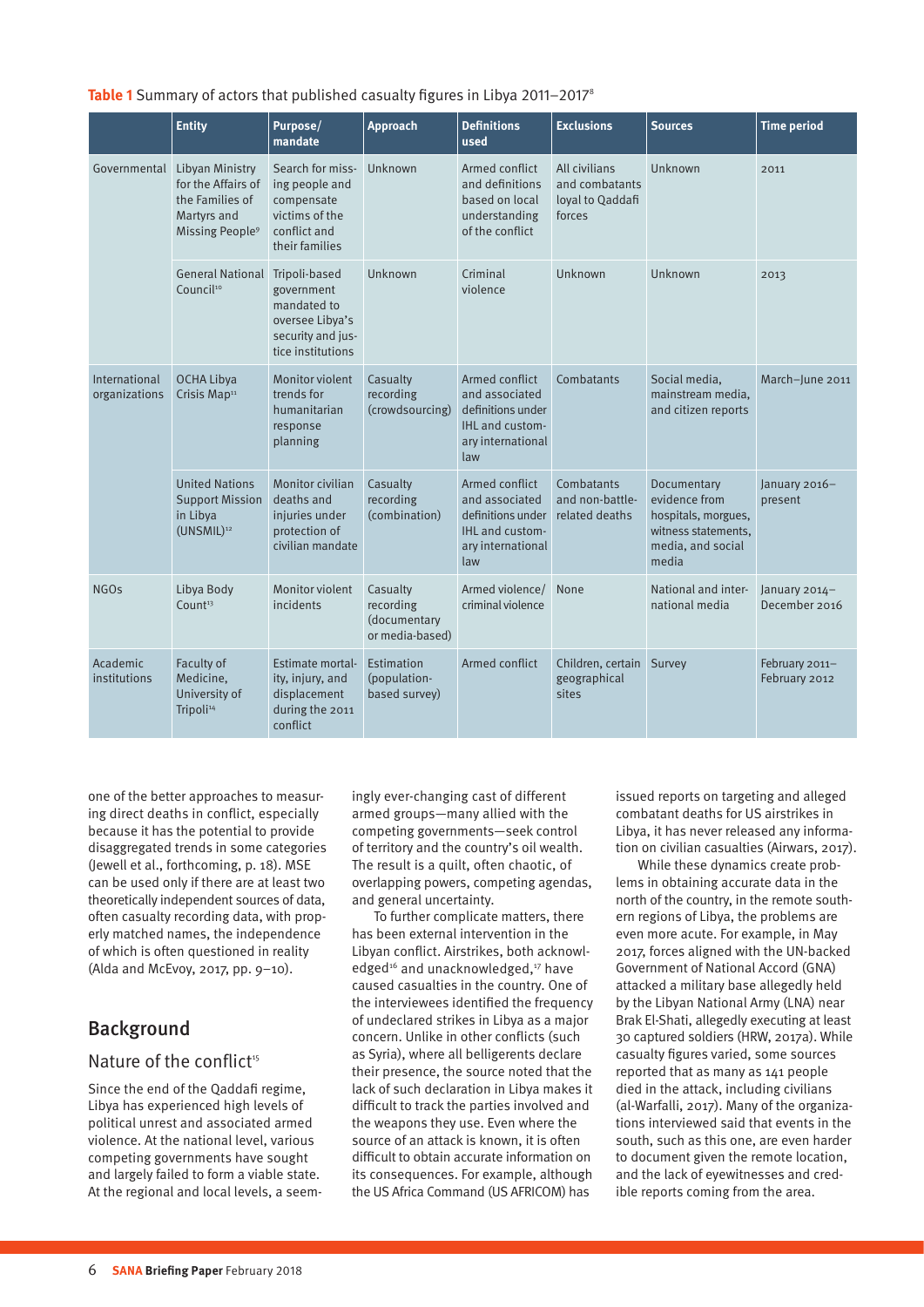#### **Table 1** Summary of actors that published casualty figures in Libya 2011–2017<sup>8</sup>

|                                | <b>Entity</b>                                                                                                 | Purpose/<br>mandate                                                                                     | Approach                                                 | <b>Definitions</b><br>used                                                                           | <b>Exclusions</b>                                             | <b>Sources</b>                                                                                           | <b>Time period</b>              |
|--------------------------------|---------------------------------------------------------------------------------------------------------------|---------------------------------------------------------------------------------------------------------|----------------------------------------------------------|------------------------------------------------------------------------------------------------------|---------------------------------------------------------------|----------------------------------------------------------------------------------------------------------|---------------------------------|
| Governmental                   | <b>Libyan Ministry</b><br>for the Affairs of<br>the Families of<br>Martyrs and<br>Missing People <sup>9</sup> | Search for miss-<br>ing people and<br>compensate<br>victims of the<br>conflict and<br>their families    | Unknown                                                  | Armed conflict<br>and definitions<br>based on local<br>understanding<br>of the conflict              | All civilians<br>and combatants<br>loval to Qaddafi<br>forces | Unknown                                                                                                  | 2011                            |
|                                | <b>General National</b><br>Council <sup>10</sup>                                                              | Tripoli-based<br>government<br>mandated to<br>oversee Libya's<br>security and jus-<br>tice institutions | Unknown                                                  | Criminal<br>violence                                                                                 | Unknown                                                       | Unknown                                                                                                  | 2013                            |
| International<br>organizations | <b>OCHA Libya</b><br>Crisis Map <sup>11</sup>                                                                 | <b>Monitor violent</b><br>trends for<br>humanitarian<br>response<br>planning                            | Casualty<br>recording<br>(crowdsourcing)                 | Armed conflict<br>and associated<br>definitions under<br>IHL and custom-<br>ary international<br>law | Combatants                                                    | Social media,<br>mainstream media,<br>and citizen reports                                                | March-June 2011                 |
|                                | <b>United Nations</b><br><b>Support Mission</b><br>in Libya<br>(UNSMIL) <sup>12</sup>                         | Monitor civilian<br>deaths and<br>injuries under<br>protection of<br>civilian mandate                   | Casualty<br>recording<br>(combination)                   | Armed conflict<br>and associated<br>definitions under<br>IHL and custom-<br>ary international<br>law | Combatants<br>and non-battle-<br>related deaths               | Documentary<br>evidence from<br>hospitals, morgues,<br>witness statements,<br>media, and social<br>media | January 2016-<br>present        |
| <b>NGOs</b>                    | Libya Body<br>Count <sup>13</sup>                                                                             | <b>Monitor violent</b><br>incidents                                                                     | Casualty<br>recording<br>(documentary<br>or media-based) | Armed violence/<br>criminal violence                                                                 | None                                                          | National and inter-<br>national media                                                                    | January 2014-<br>December 2016  |
| Academic<br>institutions       | Faculty of<br>Medicine,<br>University of<br>Tripoli <sup>14</sup>                                             | Estimate mortal-<br>ity, injury, and<br>displacement<br>during the 2011<br>conflict                     | Estimation<br>(population-<br>based survey)              | Armed conflict                                                                                       | Children, certain<br>geographical<br>sites                    | Survey                                                                                                   | February 2011-<br>February 2012 |

one of the better approaches to measuring direct deaths in conflict, especially because it has the potential to provide disaggregated trends in some categories (Jewell et al., forthcoming, p. 18). MSE can be used only if there are at least two theoretically independent sources of data, often casualty recording data, with properly matched names, the independence of which is often questioned in reality (Alda and McEvoy, 2017, pp. 9–10).

## Background

#### Nature of the conflict<sup>15</sup>

Since the end of the Qaddafi regime, Libya has experienced high levels of political unrest and associated armed violence. At the national level, various competing governments have sought and largely failed to form a viable state. At the regional and local levels, a seemingly ever-changing cast of different armed groups—many allied with the competing governments—seek control of territory and the country's oil wealth. The result is a quilt, often chaotic, of overlapping powers, competing agendas, and general uncertainty.

To further complicate matters, there has been external intervention in the Libyan conflict. Airstrikes, both acknowledged<sup>16</sup> and unacknowledged.<sup>17</sup> have caused casualties in the country. One of the interviewees identified the frequency of undeclared strikes in Libya as a major concern. Unlike in other conflicts (such as Syria), where all belligerents declare their presence, the source noted that the lack of such declaration in Libya makes it difficult to track the parties involved and the weapons they use. Even where the source of an attack is known, it is often difficult to obtain accurate information on its consequences. For example, although the US Africa Command (US AFRICOM) has

issued reports on targeting and alleged combatant deaths for US airstrikes in Libya, it has never released any information on civilian casualties (Airwars, 2017).

While these dynamics create problems in obtaining accurate data in the north of the country, in the remote southern regions of Libya, the problems are even more acute. For example, in May 2017, forces aligned with the UN-backed Government of National Accord (GNA) attacked a military base allegedly held by the Libyan National Army (LNA) near Brak El-Shati, allegedly executing at least 30 captured soldiers (HRW, 2017a). While casualty figures varied, some sources reported that as many as 141 people died in the attack, including civilians (al-Warfalli, 2017). Many of the organizations interviewed said that events in the south, such as this one, are even harder to document given the remote location, and the lack of eyewitnesses and credible reports coming from the area.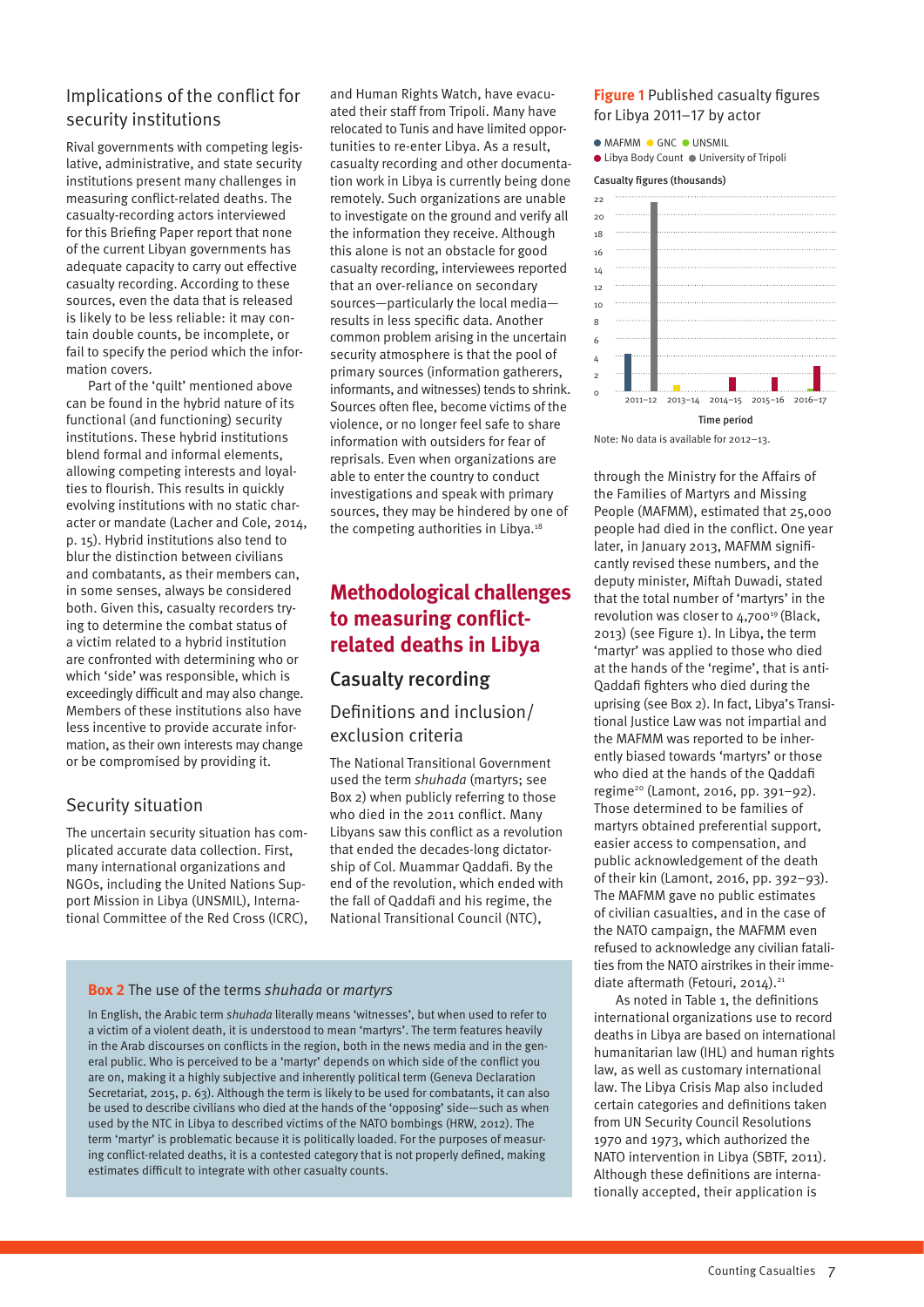### Implications of the conflict for security institutions

Rival governments with competing legislative, administrative, and state security institutions present many challenges in measuring conflict-related deaths. The casualty-recording actors interviewed for this Briefing Paper report that none of the current Libyan governments has adequate capacity to carry out effective casualty recording. According to these sources, even the data that is released is likely to be less reliable: it may contain double counts, be incomplete, or fail to specify the period which the information covers.

Part of the 'quilt' mentioned above can be found in the hybrid nature of its functional (and functioning) security institutions. These hybrid institutions blend formal and informal elements, allowing competing interests and loyalties to flourish. This results in quickly evolving institutions with no static character or mandate (Lacher and Cole, 2014, p. 15). Hybrid institutions also tend to blur the distinction between civilians and combatants, as their members can, in some senses, always be considered both. Given this, casualty recorders trying to determine the combat status of a victim related to a hybrid institution are confronted with determining who or which 'side' was responsible, which is exceedingly difficult and may also change. Members of these institutions also have less incentive to provide accurate information, as their own interests may change or be compromised by providing it.

#### Security situation

The uncertain security situation has complicated accurate data collection. First, many international organizations and NGOs, including the United Nations Support Mission in Libya (UNSMIL), International Committee of the Red Cross (ICRC), and Human Rights Watch, have evacuated their staff from Tripoli. Many have relocated to Tunis and have limited opportunities to re-enter Libya. As a result, casualty recording and other documentation work in Libya is currently being done remotely. Such organizations are unable to investigate on the ground and verify all the information they receive. Although this alone is not an obstacle for good casualty recording, interviewees reported that an over-reliance on secondary sources—particularly the local media results in less specific data. Another common problem arising in the uncertain security atmosphere is that the pool of primary sources (information gatherers, informants, and witnesses) tends to shrink. Sources often flee, become victims of the violence, or no longer feel safe to share information with outsiders for fear of reprisals. Even when organizations are able to enter the country to conduct investigations and speak with primary sources, they may be hindered by one of the competing authorities in Libya.<sup>18</sup>

## **Methodological challenges to measuring conflictrelated deaths in Libya**

#### Casualty recording

Definitions and inclusion/ exclusion criteria

The National Transitional Government used the term *shuhada* (martyrs; see Box 2) when publicly referring to those who died in the 2011 conflict. Many Libyans saw this conflict as a revolution that ended the decades-long dictatorship of Col. Muammar Qaddafi. By the end of the revolution, which ended with the fall of Qaddafi and his regime, the National Transitional Council (NTC),

#### **Box 2** The use of the terms *shuhada* or *martyrs*

In English, the Arabic term *shuhada* literally means 'witnesses', but when used to refer to a victim of a violent death, it is understood to mean 'martyrs'. The term features heavily in the Arab discourses on conflicts in the region, both in the news media and in the general public. Who is perceived to be a 'martyr' depends on which side of the conflict you are on, making it a highly subjective and inherently political term (Geneva Declaration Secretariat, 2015, p. 63). Although the term is likely to be used for combatants, it can also be used to describe civilians who died at the hands of the 'opposing' side—such as when used by the NTC in Libya to described victims of the NATO bombings (HRW, 2012). The term 'martyr' is problematic because it is politically loaded. For the purposes of measuring conflict-related deaths, it is a contested category that is not properly defined, making estimates difficult to integrate with other casualty counts.

#### **Figure 1** Published casualty figures for Libya 2011–17 by actor





Note: No data is available for 2012–13.

through the Ministry for the Affairs of the Families of Martyrs and Missing People (MAFMM), estimated that 25,000 people had died in the conflict. One year later, in January 2013, MAFMM significantly revised these numbers, and the deputy minister, Miftah Duwadi, stated that the total number of 'martyrs' in the revolution was closer to  $4,700^{19}$  (Black, 2013) (see Figure 1). In Libya, the term 'martyr' was applied to those who died at the hands of the 'regime', that is anti-Qaddafi fighters who died during the uprising (see Box 2). In fact, Libya's Transitional Justice Law was not impartial and the MAFMM was reported to be inherently biased towards 'martyrs' or those who died at the hands of the Qaddafi regime20 (Lamont, 2016, pp. 391–92). Those determined to be families of martyrs obtained preferential support, easier access to compensation, and public acknowledgement of the death of their kin (Lamont, 2016, pp. 392–93). The MAFMM gave no public estimates of civilian casualties, and in the case of the NATO campaign, the MAFMM even refused to acknowledge any civilian fatalities from the NATO airstrikes in their immediate aftermath (Fetouri, 2014).<sup>21</sup>

As noted in Table 1, the definitions international organizations use to record deaths in Libya are based on international humanitarian law (IHL) and human rights law, as well as customary international law. The Libya Crisis Map also included certain categories and definitions taken from UN Security Council Resolutions 1970 and 1973, which authorized the NATO intervention in Libya (SBTF, 2011). Although these definitions are internationally accepted, their application is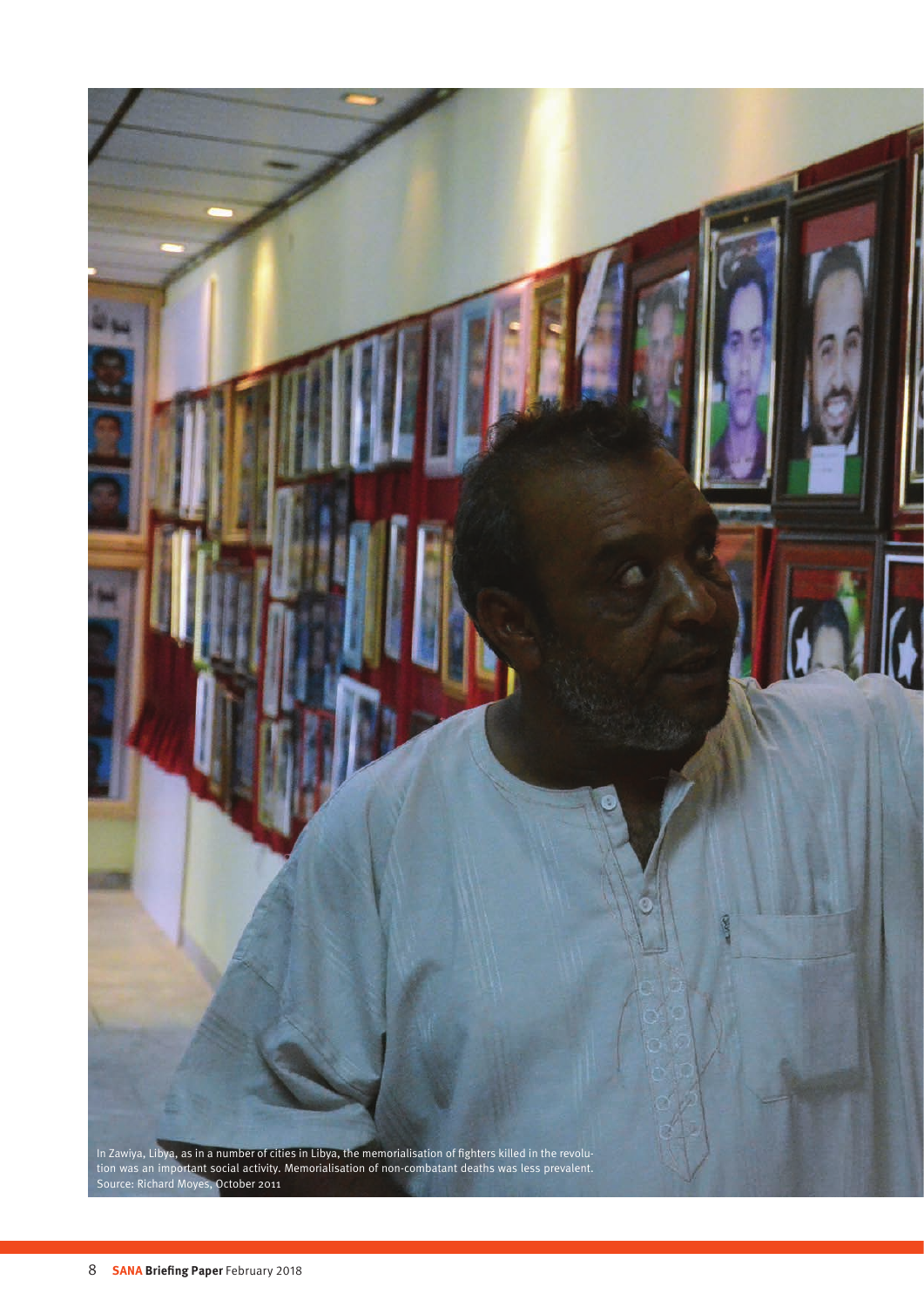

Source: Richard Moyes, October 2011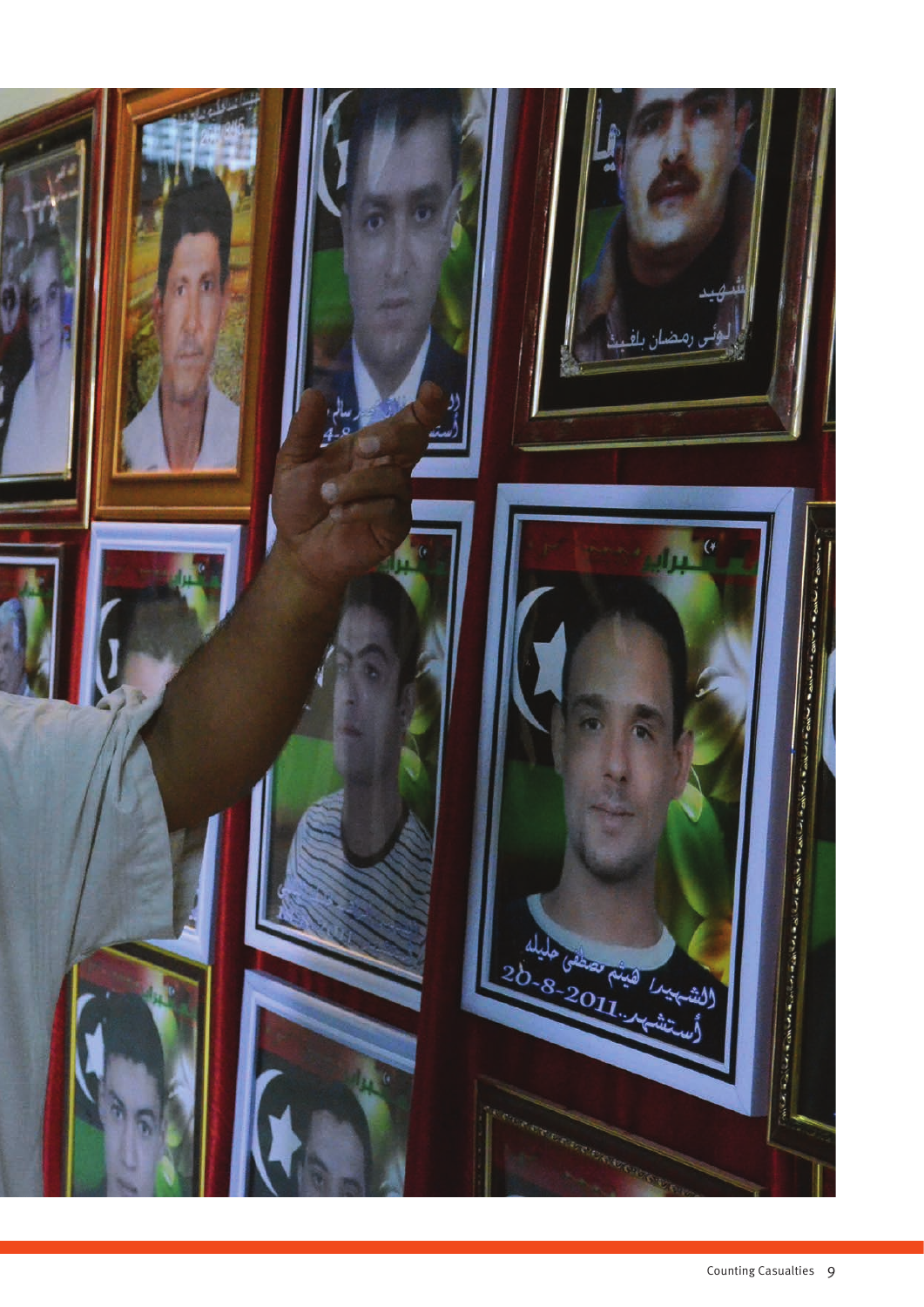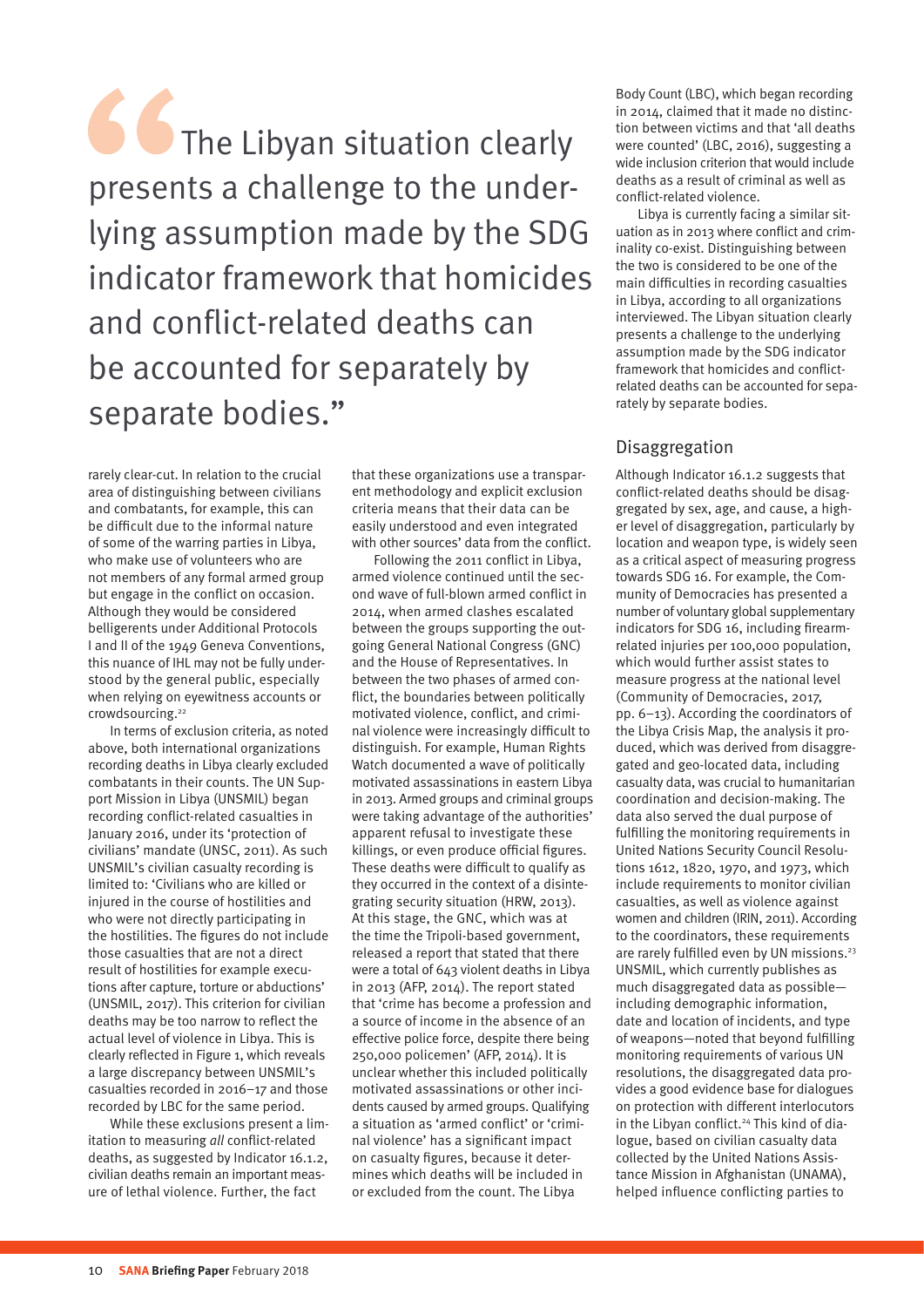**66 The Libyan situation clearly** presents a challenge to the underlying assumption made by the SDG indicator framework that homicides and conflict-related deaths can be accounted for separately by separate bodies."

rarely clear-cut. In relation to the crucial area of distinguishing between civilians and combatants, for example, this can be difficult due to the informal nature of some of the warring parties in Libya, who make use of volunteers who are not members of any formal armed group but engage in the conflict on occasion. Although they would be considered belligerents under Additional Protocols I and II of the 1949 Geneva Conventions, this nuance of IHL may not be fully understood by the general public, especially when relying on eyewitness accounts or crowdsourcing.<sup>22</sup>

In terms of exclusion criteria, as noted above, both international organizations recording deaths in Libya clearly excluded combatants in their counts. The UN Support Mission in Libya (UNSMIL) began recording conflict-related casualties in January 2016, under its 'protection of civilians' mandate (UNSC, 2011). As such UNSMIL's civilian casualty recording is limited to: 'Civilians who are killed or injured in the course of hostilities and who were not directly participating in the hostilities. The figures do not include those casualties that are not a direct result of hostilities for example executions after capture, torture or abductions' (UNSMIL, 2017). This criterion for civilian deaths may be too narrow to reflect the actual level of violence in Libya. This is clearly reflected in Figure 1, which reveals a large discrepancy between UNSMIL's casualties recorded in 2016–17 and those recorded by LBC for the same period.

While these exclusions present a limitation to measuring *all* conflict-related deaths, as suggested by Indicator 16.1.2, civilian deaths remain an important measure of lethal violence. Further, the fact

that these organizations use a transparent methodology and explicit exclusion criteria means that their data can be easily understood and even integrated with other sources' data from the conflict.

Following the 2011 conflict in Libya, armed violence continued until the second wave of full-blown armed conflict in 2014, when armed clashes escalated between the groups supporting the outgoing General National Congress (GNC) and the House of Representatives. In between the two phases of armed conflict, the boundaries between politically motivated violence, conflict, and criminal violence were increasingly difficult to distinguish. For example, Human Rights Watch documented a wave of politically motivated assassinations in eastern Libya in 2013. Armed groups and criminal groups were taking advantage of the authorities' apparent refusal to investigate these killings, or even produce official figures. These deaths were difficult to qualify as they occurred in the context of a disintegrating security situation (HRW, 2013). At this stage, the GNC, which was at the time the Tripoli-based government, released a report that stated that there were a total of 643 violent deaths in Libya in 2013 (AFP, 2014). The report stated that 'crime has become a profession and a source of income in the absence of an effective police force, despite there being 250,000 policemen' (AFP, 2014). It is unclear whether this included politically motivated assassinations or other incidents caused by armed groups. Qualifying a situation as 'armed conflict' or 'criminal violence' has a significant impact on casualty figures, because it determines which deaths will be included in or excluded from the count. The Libya

Body Count (LBC), which began recording in 2014, claimed that it made no distinction between victims and that 'all deaths were counted' (LBC, 2016), suggesting a wide inclusion criterion that would include deaths as a result of criminal as well as conflict-related violence.

Libya is currently facing a similar situation as in 2013 where conflict and criminality co-exist. Distinguishing between the two is considered to be one of the main difficulties in recording casualties in Libya, according to all organizations interviewed. The Libyan situation clearly presents a challenge to the underlying assumption made by the SDG indicator framework that homicides and conflictrelated deaths can be accounted for separately by separate bodies.

## Disaggregation

Although Indicator 16.1.2 suggests that conflict-related deaths should be disaggregated by sex, age, and cause, a higher level of disaggregation, particularly by location and weapon type, is widely seen as a critical aspect of measuring progress towards SDG 16. For example, the Community of Democracies has presented a number of voluntary global supplementary indicators for SDG 16, including firearmrelated injuries per 100,000 population, which would further assist states to measure progress at the national level (Community of Democracies, 2017, pp. 6–13). According the coordinators of the Libya Crisis Map, the analysis it produced, which was derived from disaggregated and geo-located data, including casualty data, was crucial to humanitarian coordination and decision-making. The data also served the dual purpose of fulfilling the monitoring requirements in United Nations Security Council Resolutions 1612, 1820, 1970, and 1973, which include requirements to monitor civilian casualties, as well as violence against women and children (IRIN, 2011). According to the coordinators, these requirements are rarely fulfilled even by UN missions.<sup>23</sup> UNSMIL, which currently publishes as much disaggregated data as possible including demographic information, date and location of incidents, and type of weapons—noted that beyond fulfilling monitoring requirements of various UN resolutions, the disaggregated data provides a good evidence base for dialogues on protection with different interlocutors in the Libyan conflict.<sup>24</sup> This kind of dialogue, based on civilian casualty data collected by the United Nations Assistance Mission in Afghanistan (UNAMA), helped influence conflicting parties to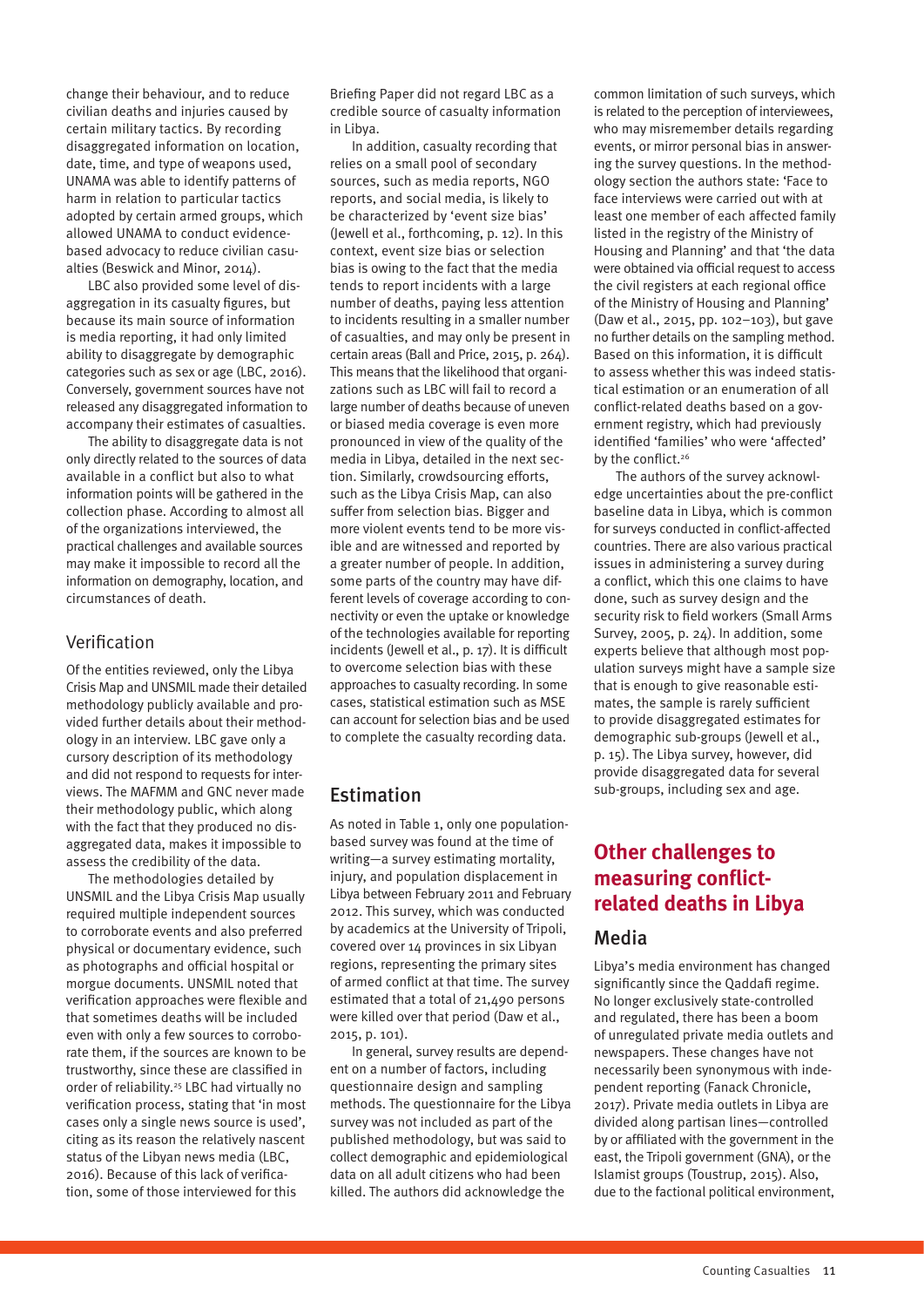change their behaviour, and to reduce civilian deaths and injuries caused by certain military tactics. By recording disaggregated information on location, date, time, and type of weapons used, UNAMA was able to identify patterns of harm in relation to particular tactics adopted by certain armed groups, which allowed UNAMA to conduct evidencebased advocacy to reduce civilian casualties (Beswick and Minor, 2014).

LBC also provided some level of disaggregation in its casualty figures, but because its main source of information is media reporting, it had only limited ability to disaggregate by demographic categories such as sex or age (LBC, 2016). Conversely, government sources have not released any disaggregated information to accompany their estimates of casualties.

The ability to disaggregate data is not only directly related to the sources of data available in a conflict but also to what information points will be gathered in the collection phase. According to almost all of the organizations interviewed, the practical challenges and available sources may make it impossible to record all the information on demography, location, and circumstances of death.

#### Verification

Of the entities reviewed, only the Libya Crisis Map and UNSMIL made their detailed methodology publicly available and provided further details about their methodology in an interview. LBC gave only a cursory description of its methodology and did not respond to requests for interviews. The MAFMM and GNC never made their methodology public, which along with the fact that they produced no disaggregated data, makes it impossible to assess the credibility of the data.

The methodologies detailed by UNSMIL and the Libya Crisis Map usually required multiple independent sources to corroborate events and also preferred physical or documentary evidence, such as photographs and official hospital or morgue documents. UNSMIL noted that verification approaches were flexible and that sometimes deaths will be included even with only a few sources to corroborate them, if the sources are known to be trustworthy, since these are classified in order of reliability.<sup>25</sup> LBC had virtually no verification process, stating that 'in most cases only a single news source is used', citing as its reason the relatively nascent status of the Libyan news media (LBC, 2016). Because of this lack of verification, some of those interviewed for this

Briefing Paper did not regard LBC as a credible source of casualty information in Libya.

In addition, casualty recording that relies on a small pool of secondary sources, such as media reports, NGO reports, and social media, is likely to be characterized by 'event size bias' (Jewell et al., forthcoming, p. 12). In this context, event size bias or selection bias is owing to the fact that the media tends to report incidents with a large number of deaths, paying less attention to incidents resulting in a smaller number of casualties, and may only be present in certain areas (Ball and Price, 2015, p. 264). This means that the likelihood that organizations such as LBC will fail to record a large number of deaths because of uneven or biased media coverage is even more pronounced in view of the quality of the media in Libya, detailed in the next section. Similarly, crowdsourcing efforts, such as the Libya Crisis Map, can also suffer from selection bias. Bigger and more violent events tend to be more visible and are witnessed and reported by a greater number of people. In addition, some parts of the country may have different levels of coverage according to connectivity or even the uptake or knowledge of the technologies available for reporting incidents (Jewell et al., p. 17). It is difficult to overcome selection bias with these approaches to casualty recording. In some cases, statistical estimation such as MSE can account for selection bias and be used to complete the casualty recording data.

### Estimation

As noted in Table 1, only one populationbased survey was found at the time of writing—a survey estimating mortality, injury, and population displacement in Libya between February 2011 and February 2012. This survey, which was conducted by academics at the University of Tripoli, covered over 14 provinces in six Libyan regions, representing the primary sites of armed conflict at that time. The survey estimated that a total of 21,490 persons were killed over that period (Daw et al., 2015, p. 101).

In general, survey results are dependent on a number of factors, including questionnaire design and sampling methods. The questionnaire for the Libya survey was not included as part of the published methodology, but was said to collect demographic and epidemiological data on all adult citizens who had been killed. The authors did acknowledge the

common limitation of such surveys, which is related to the perception of interviewees, who may misremember details regarding events, or mirror personal bias in answering the survey questions. In the methodology section the authors state: 'Face to face interviews were carried out with at least one member of each affected family listed in the registry of the Ministry of Housing and Planning' and that 'the data were obtained via official request to access the civil registers at each regional office of the Ministry of Housing and Planning' (Daw et al., 2015, pp. 102–103), but gave no further details on the sampling method. Based on this information, it is difficult to assess whether this was indeed statistical estimation or an enumeration of all conflict-related deaths based on a government registry, which had previously identified 'families' who were 'affected' by the conflict.<sup>26</sup>

The authors of the survey acknowledge uncertainties about the pre-conflict baseline data in Libya, which is common for surveys conducted in conflict-affected countries. There are also various practical issues in administering a survey during a conflict, which this one claims to have done, such as survey design and the security risk to field workers (Small Arms Survey, 2005, p. 24). In addition, some experts believe that although most population surveys might have a sample size that is enough to give reasonable estimates, the sample is rarely sufficient to provide disaggregated estimates for demographic sub-groups (Jewell et al., p. 15). The Libya survey, however, did provide disaggregated data for several sub-groups, including sex and age.

## **Other challenges to measuring conflictrelated deaths in Libya**

#### Media

Libya's media environment has changed significantly since the Qaddafi regime. No longer exclusively state-controlled and regulated, there has been a boom of unregulated private media outlets and newspapers. These changes have not necessarily been synonymous with independent reporting (Fanack Chronicle, 2017). Private media outlets in Libya are divided along partisan lines—controlled by or affiliated with the government in the east, the Tripoli government (GNA), or the Islamist groups (Toustrup, 2015). Also, due to the factional political environment,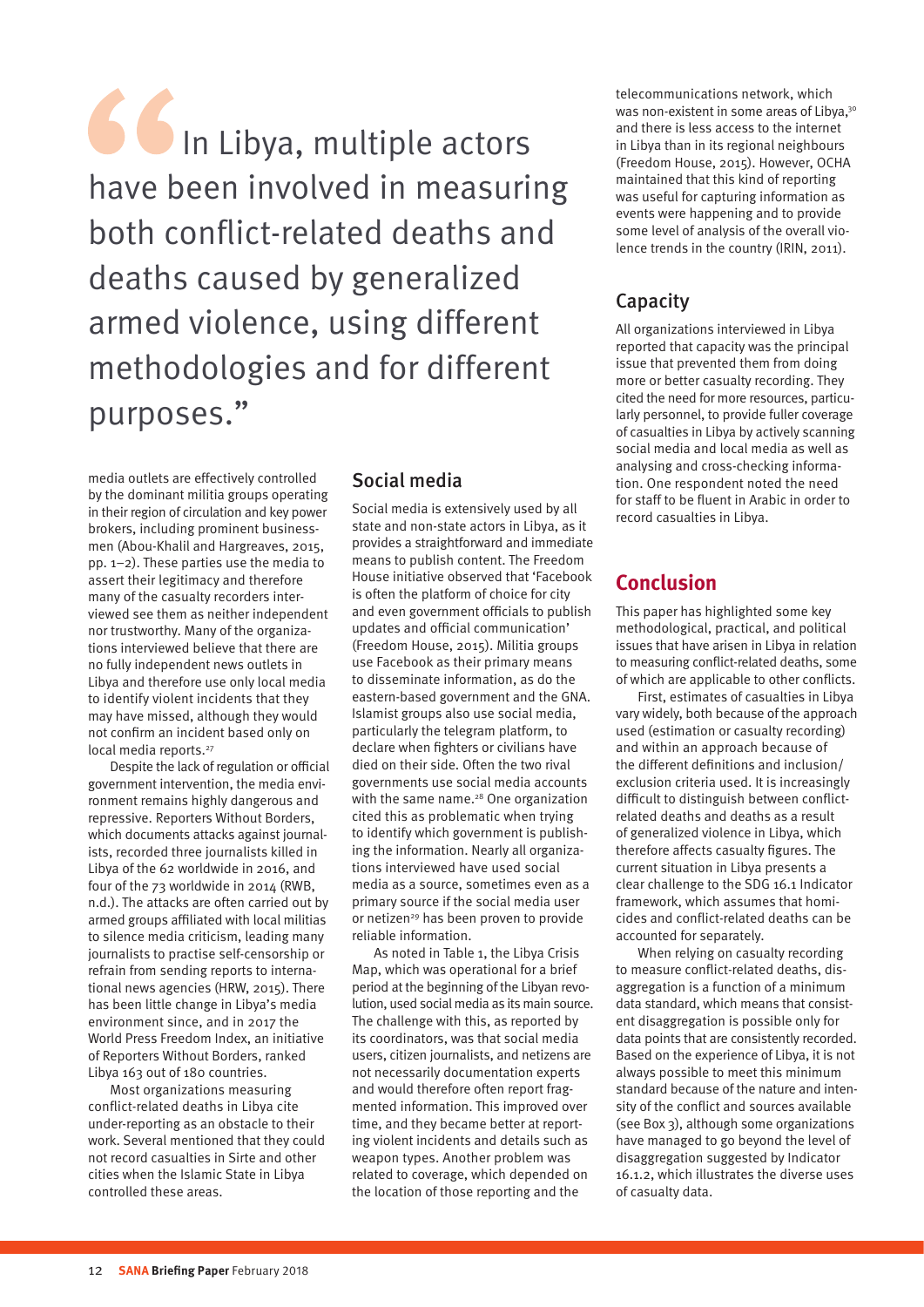In Libya, multiple actors have been involved in measuring both conflict-related deaths and deaths caused by generalized armed violence, using different methodologies and for different purposes."

media outlets are effectively controlled by the dominant militia groups operating in their region of circulation and key power brokers, including prominent businessmen (Abou-Khalil and Hargreaves, 2015, pp. 1–2). These parties use the media to assert their legitimacy and therefore many of the casualty recorders interviewed see them as neither independent nor trustworthy. Many of the organizations interviewed believe that there are no fully independent news outlets in Libya and therefore use only local media to identify violent incidents that they may have missed, although they would not confirm an incident based only on local media reports.<sup>27</sup>

Despite the lack of regulation or official government intervention, the media environment remains highly dangerous and repressive. Reporters Without Borders, which documents attacks against journalists, recorded three journalists killed in Libya of the 62 worldwide in 2016, and four of the 73 worldwide in 2014 (RWB, n.d.). The attacks are often carried out by armed groups affiliated with local militias to silence media criticism, leading many journalists to practise self-censorship or refrain from sending reports to international news agencies (HRW, 2015). There has been little change in Libya's media environment since, and in 2017 the World Press Freedom Index, an initiative of Reporters Without Borders, ranked Libya 163 out of 180 countries.

Most organizations measuring conflict-related deaths in Libya cite under-reporting as an obstacle to their work. Several mentioned that they could not record casualties in Sirte and other cities when the Islamic State in Libya controlled these areas.

#### Social media

Social media is extensively used by all state and non-state actors in Libya, as it provides a straightforward and immediate means to publish content. The Freedom House initiative observed that 'Facebook is often the platform of choice for city and even government officials to publish updates and official communication' (Freedom House, 2015). Militia groups use Facebook as their primary means to disseminate information, as do the eastern-based government and the GNA. Islamist groups also use social media, particularly the telegram platform, to declare when fighters or civilians have died on their side. Often the two rival governments use social media accounts with the same name.<sup>28</sup> One organization cited this as problematic when trying to identify which government is publishing the information. Nearly all organizations interviewed have used social media as a source, sometimes even as a primary source if the social media user or netizen<sup>29</sup> has been proven to provide reliable information.

As noted in Table 1, the Libya Crisis Map, which was operational for a brief period at the beginning of the Libyan revolution, used social media as its main source. The challenge with this, as reported by its coordinators, was that social media users, citizen journalists, and netizens are not necessarily documentation experts and would therefore often report fragmented information. This improved over time, and they became better at reporting violent incidents and details such as weapon types. Another problem was related to coverage, which depended on the location of those reporting and the

telecommunications network, which was non-existent in some areas of Libva.<sup>30</sup> and there is less access to the internet in Libya than in its regional neighbours (Freedom House, 2015). However, OCHA maintained that this kind of reporting was useful for capturing information as events were happening and to provide some level of analysis of the overall violence trends in the country (IRIN, 2011).

### **Capacity**

All organizations interviewed in Libya reported that capacity was the principal issue that prevented them from doing more or better casualty recording. They cited the need for more resources, particularly personnel, to provide fuller coverage of casualties in Libya by actively scanning social media and local media as well as analysing and cross-checking information. One respondent noted the need for staff to be fluent in Arabic in order to record casualties in Libya.

## **Conclusion**

This paper has highlighted some key methodological, practical, and political issues that have arisen in Libya in relation to measuring conflict-related deaths, some of which are applicable to other conflicts.

First, estimates of casualties in Libya vary widely, both because of the approach used (estimation or casualty recording) and within an approach because of the different definitions and inclusion/ exclusion criteria used. It is increasingly difficult to distinguish between conflictrelated deaths and deaths as a result of generalized violence in Libya, which therefore affects casualty figures. The current situation in Libya presents a clear challenge to the SDG 16.1 Indicator framework, which assumes that homicides and conflict-related deaths can be accounted for separately.

When relying on casualty recording to measure conflict-related deaths, disaggregation is a function of a minimum data standard, which means that consistent disaggregation is possible only for data points that are consistently recorded. Based on the experience of Libya, it is not always possible to meet this minimum standard because of the nature and intensity of the conflict and sources available (see Box 3), although some organizations have managed to go beyond the level of disaggregation suggested by Indicator 16.1.2, which illustrates the diverse uses of casualty data.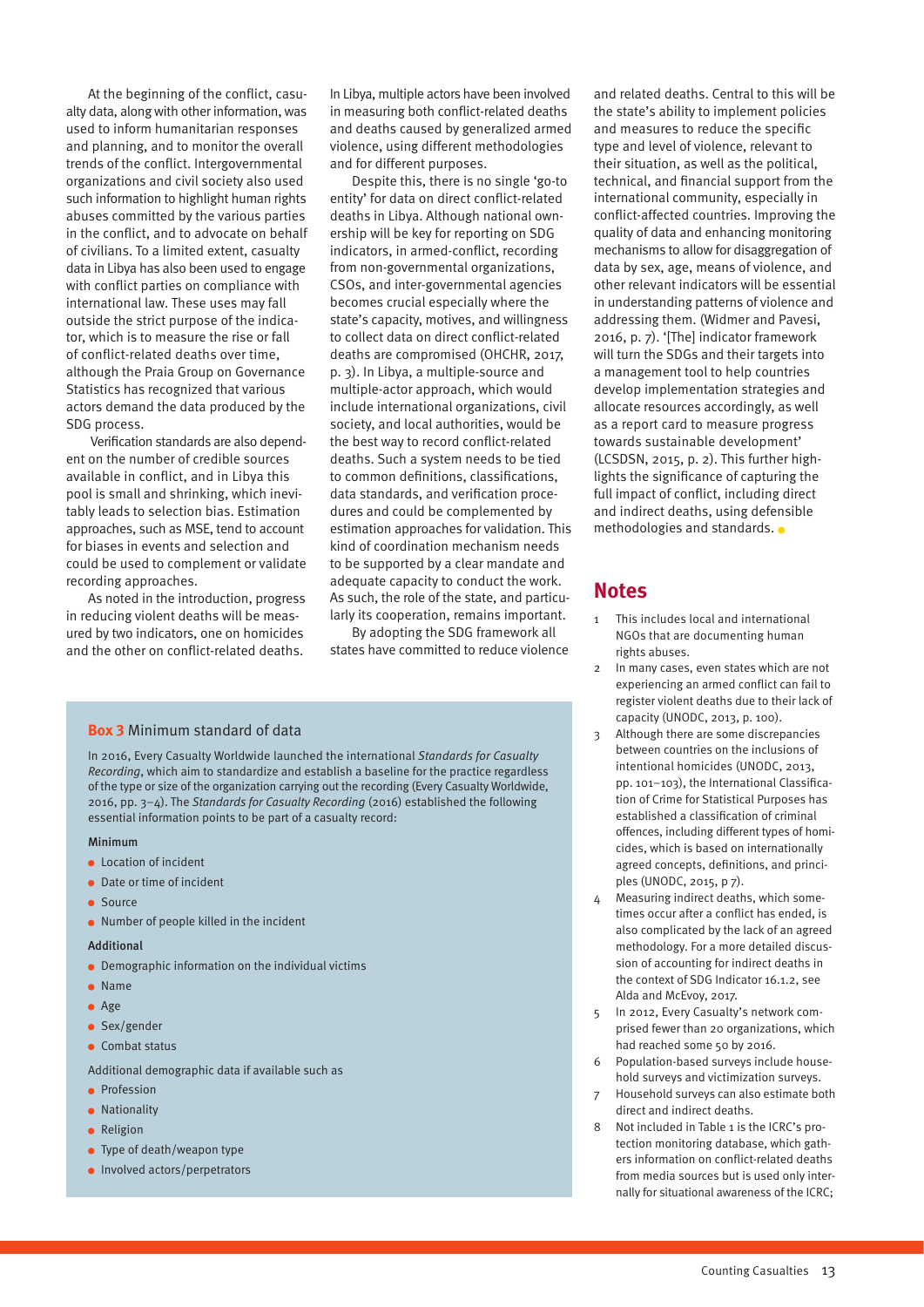At the beginning of the conflict, casualty data, along with other information, was used to inform humanitarian responses and planning, and to monitor the overall trends of the conflict. Intergovernmental organizations and civil society also used such information to highlight human rights abuses committed by the various parties in the conflict, and to advocate on behalf of civilians. To a limited extent, casualty data in Libya has also been used to engage with conflict parties on compliance with international law. These uses may fall outside the strict purpose of the indicator, which is to measure the rise or fall of conflict-related deaths over time, although the Praia Group on Governance Statistics has recognized that various actors demand the data produced by the SDG process.

 Verification standards are also dependent on the number of credible sources available in conflict, and in Libya this pool is small and shrinking, which inevitably leads to selection bias. Estimation approaches, such as MSE, tend to account for biases in events and selection and could be used to complement or validate recording approaches.

As noted in the introduction, progress in reducing violent deaths will be measured by two indicators, one on homicides and the other on conflict-related deaths. In Libya, multiple actors have been involved in measuring both conflict-related deaths and deaths caused by generalized armed violence, using different methodologies and for different purposes.

Despite this, there is no single 'go-to entity' for data on direct conflict-related deaths in Libya. Although national ownership will be key for reporting on SDG indicators, in armed-conflict, recording from non-governmental organizations, CSOs, and inter-governmental agencies becomes crucial especially where the state's capacity, motives, and willingness to collect data on direct conflict-related deaths are compromised (OHCHR, 2017, p. 3). In Libya, a multiple-source and multiple-actor approach, which would include international organizations, civil society, and local authorities, would be the best way to record conflict-related deaths. Such a system needs to be tied to common definitions, classifications, data standards, and verification procedures and could be complemented by estimation approaches for validation. This kind of coordination mechanism needs to be supported by a clear mandate and adequate capacity to conduct the work. As such, the role of the state, and particularly its cooperation, remains important.

By adopting the SDG framework all states have committed to reduce violence

#### **Box 3** Minimum standard of data

In 2016, Every Casualty Worldwide launched the international *Standards for Casualty Recording*, which aim to standardize and establish a baseline for the practice regardless of the type or size of the organization carrying out the recording (Every Casualty Worldwide, 2016, pp. 3–4). The *Standards for Casualty Recording* (2016) established the following essential information points to be part of a casualty record:

#### Minimum

- **Containers** Location of incident
- Date or time of incident
- Source
- Number of people killed in the incident

#### Additional

- **•** Demographic information on the individual victims
- Name
- Age
- Sex/gender
- $\bullet$  Combat status

Additional demographic data if available such as

- **•** Profession
- Nationality
- **•** Religion
- Type of death/weapon type
- **Involved actors/perpetrators**

and related deaths. Central to this will be the state's ability to implement policies and measures to reduce the specific type and level of violence, relevant to their situation, as well as the political, technical, and financial support from the international community, especially in conflict-affected countries. Improving the quality of data and enhancing monitoring mechanisms to allow for disaggregation of data by sex, age, means of violence, and other relevant indicators will be essential in understanding patterns of violence and addressing them. (Widmer and Pavesi, 2016, p. 7). '[The] indicator framework will turn the SDGs and their targets into a management tool to help countries develop implementation strategies and allocate resources accordingly, as well as a report card to measure progress towards sustainable development' (LCSDSN, 2015, p. 2). This further highlights the significance of capturing the full impact of conflict, including direct and indirect deaths, using defensible methodologies and standards.

#### **Notes**

- 1 This includes local and international NGOs that are documenting human rights abuses.
- 2 In many cases, even states which are not experiencing an armed conflict can fail to register violent deaths due to their lack of capacity (UNODC, 2013, p. 100).
- 3 Although there are some discrepancies between countries on the inclusions of intentional homicides (UNODC, 2013, pp. 101–103), the International Classification of Crime for Statistical Purposes has established a classification of criminal offences, including different types of homicides, which is based on internationally agreed concepts, definitions, and principles (UNODC, 2015, p 7).
- Measuring indirect deaths, which sometimes occur after a conflict has ended, is also complicated by the lack of an agreed methodology. For a more detailed discussion of accounting for indirect deaths in the context of SDG Indicator 16.1.2, see Alda and McEvoy, 2017.
- 5 In 2012, Every Casualty's network comprised fewer than 20 organizations, which had reached some 50 by 2016.
- 6 Population-based surveys include household surveys and victimization surveys.
- 7 Household surveys can also estimate both direct and indirect deaths.
- 8 Not included in Table 1 is the ICRC's protection monitoring database, which gathers information on conflict-related deaths from media sources but is used only internally for situational awareness of the ICRC;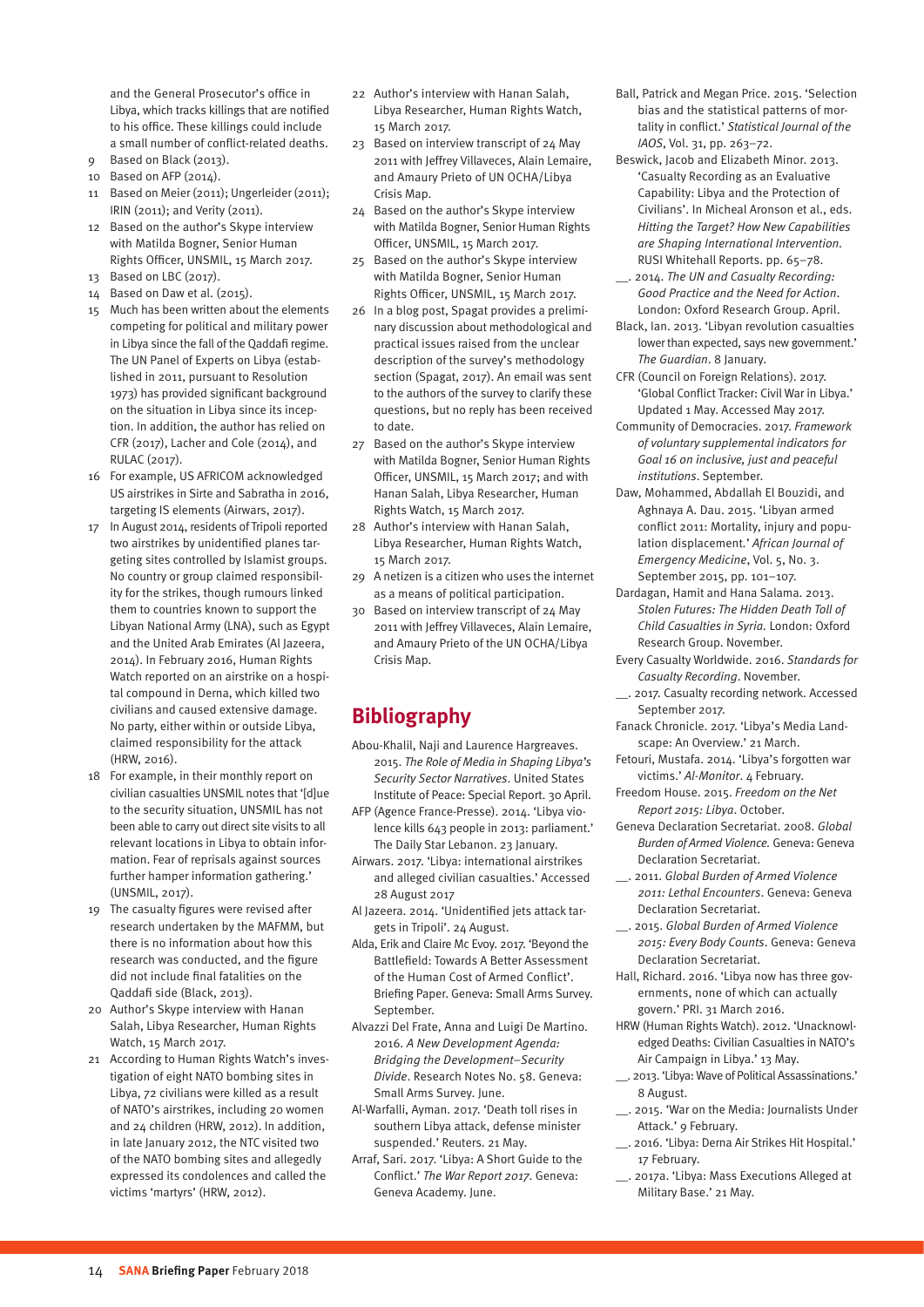and the General Prosecutor's office in Libya, which tracks killings that are notified to his office. These killings could include a small number of conflict-related deaths.

- 9 Based on Black (2013). 10 Based on AFP (2014).
- 11 Based on Meier (2011); Ungerleider (2011); IRIN (2011); and Verity (2011).
- 12 Based on the author's Skype interview with Matilda Bogner, Senior Human Rights Officer, UNSMIL, 15 March 2017.
- 13 Based on LBC (2017).
- 14 Based on Daw et al. (2015).
- 15 Much has been written about the elements competing for political and military power in Libya since the fall of the Qaddafi regime. The UN Panel of Experts on Libya (established in 2011, pursuant to Resolution 1973) has provided significant background on the situation in Libya since its inception. In addition, the author has relied on CFR (2017), Lacher and Cole (2014), and RULAC (2017).
- 16 For example, US AFRICOM acknowledged US airstrikes in Sirte and Sabratha in 2016, targeting IS elements (Airwars, 2017).
- 17 In August 2014, residents of Tripoli reported two airstrikes by unidentified planes targeting sites controlled by Islamist groups. No country or group claimed responsibility for the strikes, though rumours linked them to countries known to support the Libyan National Army (LNA), such as Egypt and the United Arab Emirates (Al Jazeera, 2014). In February 2016, Human Rights Watch reported on an airstrike on a hospital compound in Derna, which killed two civilians and caused extensive damage. No party, either within or outside Libya, claimed responsibility for the attack (HRW, 2016).
- 18 For example, in their monthly report on civilian casualties UNSMIL notes that '[d]ue to the security situation, UNSMIL has not been able to carry out direct site visits to all relevant locations in Libya to obtain information. Fear of reprisals against sources further hamper information gathering.' (UNSMIL, 2017).
- 19 The casualty figures were revised after research undertaken by the MAFMM, but there is no information about how this research was conducted, and the figure did not include final fatalities on the Qaddafi side (Black, 2013).
- 20 Author's Skype interview with Hanan Salah, Libya Researcher, Human Rights Watch, 15 March 2017.
- 21 According to Human Rights Watch's investigation of eight NATO bombing sites in Libya, 72 civilians were killed as a result of NATO's airstrikes, including 20 women and 24 children (HRW, 2012). In addition, in late January 2012, the NTC visited two of the NATO bombing sites and allegedly expressed its condolences and called the victims 'martyrs' (HRW, 2012).
- 22 Author's interview with Hanan Salah, Libya Researcher, Human Rights Watch, 15 March 2017.
- 23 Based on interview transcript of 24 May 2011 with Jeffrey Villaveces, Alain Lemaire, and Amaury Prieto of UN OCHA/Libya Crisis Map.
- 24 Based on the author's Skype interview with Matilda Bogner, Senior Human Rights Officer, UNSMIL, 15 March 2017.
- 25 Based on the author's Skype interview with Matilda Bogner, Senior Human Rights Officer, UNSMIL, 15 March 2017.
- 26 In a blog post, Spagat provides a preliminary discussion about methodological and practical issues raised from the unclear description of the survey's methodology section (Spagat, 2017). An email was sent to the authors of the survey to clarify these questions, but no reply has been received to date.
- 27 Based on the author's Skype interview with Matilda Bogner, Senior Human Rights Officer, UNSMIL, 15 March 2017; and with Hanan Salah, Libya Researcher, Human Rights Watch, 15 March 2017.
- 28 Author's interview with Hanan Salah, Libya Researcher, Human Rights Watch, 15 March 2017.
- 29 A netizen is a citizen who uses the internet as a means of political participation.
- 30 Based on interview transcript of 24 May 2011 with Jeffrey Villaveces, Alain Lemaire, and Amaury Prieto of the UN OCHA/Libya Crisis Map.

## **Bibliography**

- Abou-Khalil, Naji and Laurence Hargreaves. 2015. *[The Role of Media in Shaping Libya's](https://www.usip.org/publications/2015/04/role-media-shaping-libyas-security-sector-narratives)  [Security Sector Narratives](https://www.usip.org/publications/2015/04/role-media-shaping-libyas-security-sector-narratives)*. United States Institute of Peace: Special Report. 30 April.
- AFP (Agence France-Presse). 2014. ['Libya vio](http://www.dailystar.com.lb/News/Middle-East/2014/Jan-23/245054-libya-violence-kills-643-people-in-2013-parliament.ashx#axzz32ZGVB8bS)[lence kills 643 people in 2013: parliament.'](http://www.dailystar.com.lb/News/Middle-East/2014/Jan-23/245054-libya-violence-kills-643-people-in-2013-parliament.ashx#axzz32ZGVB8bS)  The Daily Star Lebanon. 23 January.
- Airwars. 2017. ['Libya: international airstrikes](https://airwars.org/libya-airstrike-reports-and-alleged-civilian-casualties/)  [and alleged civilian casualties.' A](https://airwars.org/libya-airstrike-reports-and-alleged-civilian-casualties/)ccessed 28 August 2017
- Al Jazeera. 2014. ['Unidentified jets attack tar](http://www.aljazeera.com/news/middleeast/2014/08/unidentified-jets-attack-targets-tripoli-20148241186235559.html)[gets in Tripoli'.](http://www.aljazeera.com/news/middleeast/2014/08/unidentified-jets-attack-targets-tripoli-20148241186235559.html) 24 August.
- Alda, Erik and Claire Mc Evoy. 2017. ['Beyond the](http://www.smallarmssurvey.org/fileadmin/docs/T-Briefing-Papers/SAS-BP4-Beyond-battlefield.pdf)  [Battlefield: Towards A Better Assessment](http://www.smallarmssurvey.org/fileadmin/docs/T-Briefing-Papers/SAS-BP4-Beyond-battlefield.pdf)  [of the Human Cost of Armed Conflict'.](http://www.smallarmssurvey.org/fileadmin/docs/T-Briefing-Papers/SAS-BP4-Beyond-battlefield.pdf)  Briefing Paper. Geneva: Small Arms Survey. September.
- Alvazzi Del Frate, Anna and Luigi De Martino. 2016*. [A New Development Agenda:](http://www.smallarmssurvey.org/fileadmin/docs/H-Research_Notes/SAS-Research-Note-58.pdf)  [Bridging the Development–Security](http://www.smallarmssurvey.org/fileadmin/docs/H-Research_Notes/SAS-Research-Note-58.pdf)  [Divide](http://www.smallarmssurvey.org/fileadmin/docs/H-Research_Notes/SAS-Research-Note-58.pdf)*. Research Notes No. 58. Geneva: Small Arms Survey. June.
- Al-Warfalli, Ayman. 2017. ['Death toll rises in](http://www.reuters.com/article/us-libya-security-toll-idUSKCN18F2KA)  [southern Libya attack, defense minister](http://www.reuters.com/article/us-libya-security-toll-idUSKCN18F2KA)  [suspended.' R](http://www.reuters.com/article/us-libya-security-toll-idUSKCN18F2KA)euters. 21 May.
- Arraf, Sari. 2017. ['Libya: A Short Guide to the](https://www.geneva-academy.ch/joomlatools-files/docman-files/Lybia%20A%20Short%20Guide%20to%20the%20Conflict.pdf)  [Conflict.'](https://www.geneva-academy.ch/joomlatools-files/docman-files/Lybia%20A%20Short%20Guide%20to%20the%20Conflict.pdf) *The War Report 2017*. Geneva: Geneva Academy. June.
- Ball, Patrick and Megan Price. 2015. 'Selection bias and the statistical patterns of mortality in conflict.' *Statistical Journal of the IAOS*, Vol. 31, pp. 263–72.
- Beswick, Jacob and Elizabeth Minor. 2013. ['Casualty Recording as an Evaluative](http://oxfordresearchgroup.org.uk/sites/default/files/Casualty%20Recording%20PoC%20Libya%20Beswick%20and%20Minor.pdf)  [Capability: Libya and the Protection of](http://oxfordresearchgroup.org.uk/sites/default/files/Casualty%20Recording%20PoC%20Libya%20Beswick%20and%20Minor.pdf)  [Civilians'.](http://oxfordresearchgroup.org.uk/sites/default/files/Casualty%20Recording%20PoC%20Libya%20Beswick%20and%20Minor.pdf) In Micheal Aronson et al., eds. *Hitting the Target? How New Capabilities are Shaping International Intervention.*  RUSI Whitehall Reports. pp. 65–78.
- \_\_. 2014. *[The UN and Casualty Recording:](http://oxfordresearchgroup.org.uk/sites/default/files/u11/ORG-UN-and-CR.pdf)  [Good Practice and the Need for Action](http://oxfordresearchgroup.org.uk/sites/default/files/u11/ORG-UN-and-CR.pdf)*. London: Oxford Research Group. April.
- Black, Ian. 2013. ['Libyan revolution casualties](https://www.theguardian.com/world/2013/jan/08/libyan-revolution-casualties-lower-expected-government)  [lower than expected, says new government.'](https://www.theguardian.com/world/2013/jan/08/libyan-revolution-casualties-lower-expected-government)  *The Guardian*. 8 January.
- CFR (Council on Foreign Relations). 2017. 'Global Conflict Tracker: Civil War in Libya.' Updated 1 May. Accessed May 2017.
- Community of Democracies. 2017. *[Framework](http://www.community-democracies.org/app/uploads/2016/09/Framework.-Voluntary-Supplemental-Indicators-SDG16.pdf)  [of voluntary supplemental indicators for](http://www.community-democracies.org/app/uploads/2016/09/Framework.-Voluntary-Supplemental-Indicators-SDG16.pdf)  [Goal 16 on inclusive, just and peaceful](http://www.community-democracies.org/app/uploads/2016/09/Framework.-Voluntary-Supplemental-Indicators-SDG16.pdf)  [institutions](http://www.community-democracies.org/app/uploads/2016/09/Framework.-Voluntary-Supplemental-Indicators-SDG16.pdf)*. September.
- Daw, Mohammed, Abdallah El Bouzidi, and Aghnaya A. Dau. 2015. ['Libyan armed](http://www.afjem.org/article/S2211-419X(15)00034-8/pdf)  [conflict 2011: Mortality, injury and popu](http://www.afjem.org/article/S2211-419X(15)00034-8/pdf)[lation displacement](http://www.afjem.org/article/S2211-419X(15)00034-8/pdf)*.*' *African Journal of Emergency Medicine*, Vol. 5, No. 3. September 2015, pp. 101–107.
- Dardagan, Hamit and Hana Salama. 2013. *Stolen Futures: The Hidden Death Toll of Child Casualties in Syria.* London: Oxford Research Group. November.
- Every Casualty Worldwide. 2016. *[Standards for](http://www.everycasualty.org/downloads/ec/pdf/StandardsforCasualtyRecording-Version1.0(2016).pdf)  [Casualty Recording](http://www.everycasualty.org/downloads/ec/pdf/StandardsforCasualtyRecording-Version1.0(2016).pdf)*. November.
- \_\_. 2017. [Casualty recording network. A](http://www.everycasualty.org/practice/ipn/members)ccessed September 2017.
- Fanack Chronicle. 2017. ['Libya's Media Land](https://fanack.com/libya/society-media-culture/libya-media/)[scape: An Overview.'](https://fanack.com/libya/society-media-culture/libya-media/) 21 March.
- Fetouri, Mustafa. 2014. ['Libya's forgotten war](http://www.al-monitor.com/pulse/originals/2014/02/libya-nato-bombing-victims-excluded-martyrs-compensation.html#)  [victims.'](http://www.al-monitor.com/pulse/originals/2014/02/libya-nato-bombing-victims-excluded-martyrs-compensation.html#) *Al-Monitor*. 4 February.
- Freedom House. 2015. *[Freedom on the Net](https://freedomhouse.org/sites/default/files/resources/FOTN%202015_Libya.pdf)  [Report 2015: Libya](https://freedomhouse.org/sites/default/files/resources/FOTN%202015_Libya.pdf)*. October.
- Geneva Declaration Secretariat. 2008. *[Global](http://www.genevadeclaration.org/fileadmin/docs/Global-Burden-of-Armed-Violence-full-report.pdf)  [Burden of Armed Violence.](http://www.genevadeclaration.org/fileadmin/docs/Global-Burden-of-Armed-Violence-full-report.pdf)* Geneva: Geneva Declaration Secretariat.
- \_\_. 2011. *[Global Burden of Armed Violence](http://www.genevadeclaration.org/measurability/global-burden-of-armed-violence/global-burden-of-armed-violence-2011.html)  [2011: Lethal Encounters](http://www.genevadeclaration.org/measurability/global-burden-of-armed-violence/global-burden-of-armed-violence-2011.html)*. Geneva: Geneva Declaration Secretariat.
- \_\_. 2015. *[Global Burden of Armed Violence](http://www.genevadeclaration.org/measurability/global-burden-of-armed-violence/global-burden-of-armed-violence-2015.html)  [2015: Every Body Counts](http://www.genevadeclaration.org/measurability/global-burden-of-armed-violence/global-burden-of-armed-violence-2015.html)*. Geneva: Geneva Declaration Secretariat.
- Hall, Richard. 2016. ['Libya now has three gov](https://www.pri.org/stories/2016-03-31/libya-now-has-three-governments-none-which-can-actually-govern)[ernments, none of which can actually](https://www.pri.org/stories/2016-03-31/libya-now-has-three-governments-none-which-can-actually-govern)  [govern.' P](https://www.pri.org/stories/2016-03-31/libya-now-has-three-governments-none-which-can-actually-govern)RI. 31 March 2016.
- HRW (Human Rights Watch). 2012. ['Unacknowl](https://www.hrw.org/report/2012/05/13/unacknowledged-deaths/civilian-casualties-natos-air-campaign-libya)[edged Deaths: Civilian Casualties in NATO's](https://www.hrw.org/report/2012/05/13/unacknowledged-deaths/civilian-casualties-natos-air-campaign-libya)  [Air Campaign in Libya.'](https://www.hrw.org/report/2012/05/13/unacknowledged-deaths/civilian-casualties-natos-air-campaign-libya) 13 May.
- \_\_. 2013. ['Libya: Wave of Political Assassinations.'](https://www.hrw.org/news/2013/08/08/libya-wave-political-assassinations)  8 August.
- \_\_. 2015. ['War on the Media: Journalists Under](https://www.hrw.org/report/2015/02/09/war-media/journalists-under-attack-libya)  [Attack.'](https://www.hrw.org/report/2015/02/09/war-media/journalists-under-attack-libya) 9 February.
- \_\_. 2016. ['Libya: Derna Air Strikes Hit Hospital.'](https://www.hrw.org/news/2016/02/17/libya-derna-air-strikes-hit-hospital)  17 February.
- \_\_. 2017a. ['Libya: Mass Executions Alleged at](https://www.hrw.org/news/2017/05/21/libya-mass-executions-alleged-military-base)  [Military Base.' 2](https://www.hrw.org/news/2017/05/21/libya-mass-executions-alleged-military-base)1 May.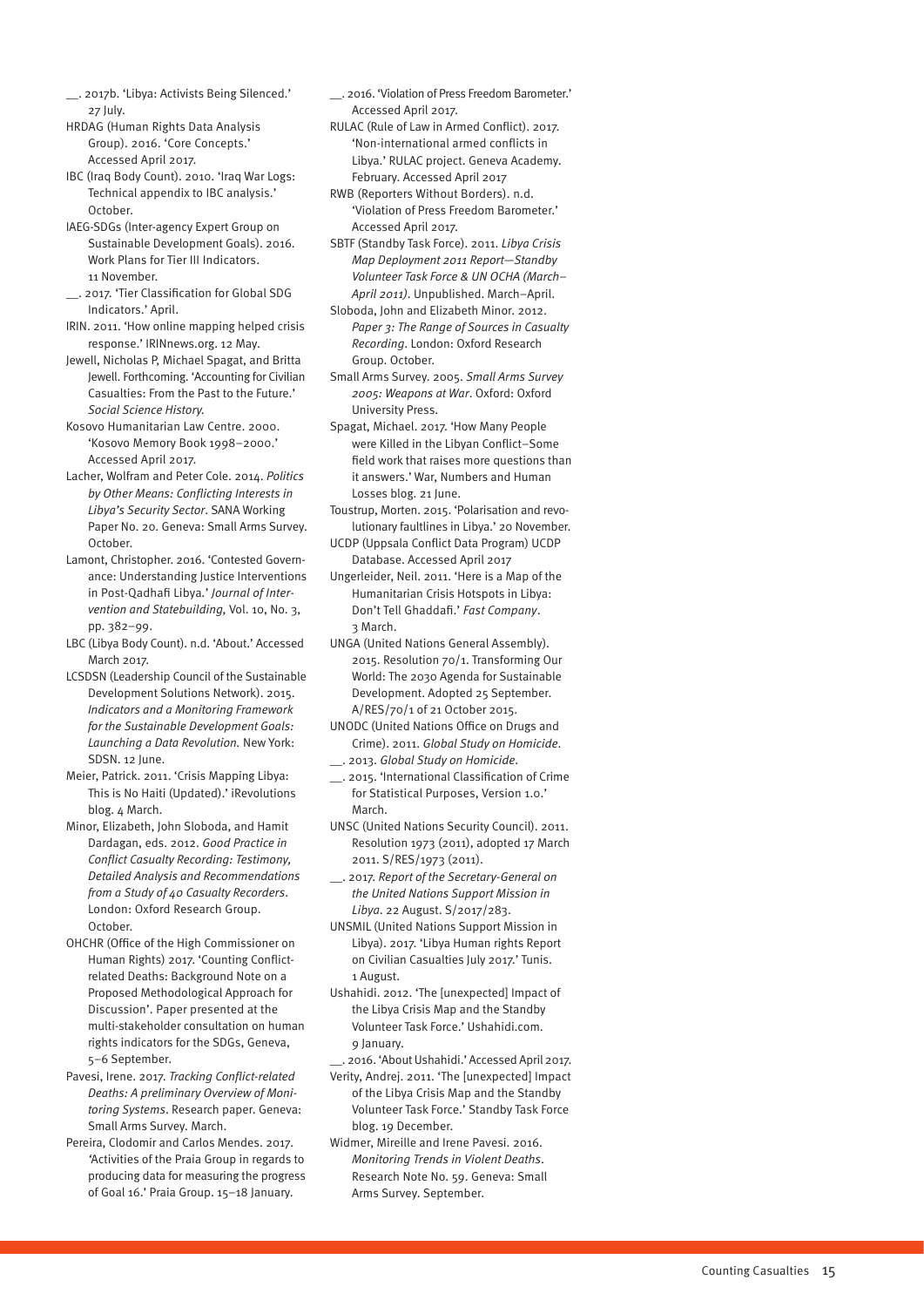- \_\_. 2017b. ['Libya: Activists Being Silenced.'](https://www.hrw.org/news/2017/07/27/libya-activists-being-silenced)  27 July.
- HRDAG (Human Rights Data Analysis Group). 2016. ['Core Concepts.'](https://hrdag.org/coreconcepts/)  Accessed April 2017.
- IBC (Iraq Body Count). 2010. ['Iraq War Logs:](https://www.iraqbodycount.org/analysis/numbers/warlogs-appendix/)  [Technical appendix to IBC analysis.'](https://www.iraqbodycount.org/analysis/numbers/warlogs-appendix/)  October.
- IAEG-SDGs (Inter-agency Expert Group on Sustainable Development Goals). 2016. [Work Plans for Tier III Indicators.](https://unstats.un.org/sdgs/files/meetings/iaeg-sdgs-meeting-04/Tier%20III%20Work%20Plans%2011.11.2016.pdf)  11 November.
- \_\_. 2017. ['Tier Classification for Global SDG](https://unstats.un.org/sdgs/files/Tier%20Classification%20of%20SDG%20Indicators_20%20April%202017_web.pdf)  [Indicators.'](https://unstats.un.org/sdgs/files/Tier%20Classification%20of%20SDG%20Indicators_20%20April%202017_web.pdf) April.
- IRIN. 2011. ['How online mapping helped crisis](http://reliefweb.int/report/libya/how-online-mapping-helped-crisis-response)  [response.' I](http://reliefweb.int/report/libya/how-online-mapping-helped-crisis-response)RINnews.org. 12 May.
- Jewell, Nicholas P, Michael Spagat, and Britta Jewell. Forthcoming. ['Accounting for Civilian](https://pure.royalholloway.ac.uk/portal/files/27988608/SSH_JewellSpagatJewell_for_posting.pdf)  [Casualties: From the Past to the Future.'](https://pure.royalholloway.ac.uk/portal/files/27988608/SSH_JewellSpagatJewell_for_posting.pdf)  *Social Science History.*
- Kosovo Humanitarian Law Centre. 2000. ['Kosovo Memory Book 1998–2000.'](http://www.kosovskaknjigapamcenja.org/?page_id=29&lang=de)  Accessed April 2017.
- Lacher, Wolfram and Peter Cole. 2014. *Politics by Other Means: Conflicting Interests in Libya's Security Sector*. SANA Working Paper No. 20. Geneva: Small Arms Survey. October.
- Lamont, Christopher. 2016. 'Contested Governance: Understanding Justice Interventions in Post-Qadhafi Libya*.*' *Journal of Intervention and Statebuilding,* Vol. 10, No. 3, pp. 382–99.
- LBC (Libya Body Count). n.d. ['About.' A](http://www.libyabodycount.org/about/)ccessed March 2017.
- LCSDSN (Leadership Council of the Sustainable Development Solutions Network). 2015. *[Indicators and a Monitoring Framework](https://sustainabledevelopment.un.org/content/documents/2013150612-FINAL-SDSN-Indicator-Report1.pdf)  [for the Sustainable Development Goals:](https://sustainabledevelopment.un.org/content/documents/2013150612-FINAL-SDSN-Indicator-Report1.pdf)  [Launching a Data Revolution.](https://sustainabledevelopment.un.org/content/documents/2013150612-FINAL-SDSN-Indicator-Report1.pdf)* New York: SDSN. 12 June.
- Meier, Patrick. 2011. ['Crisis Mapping Libya:](https://irevolutions.org/2011/03/04/crisis-mapping-libya/)  [This is No Haiti](https://irevolutions.org/2011/03/04/crisis-mapping-libya/) (Updated).' iRevolutions blog. 4 March.
- Minor, Elizabeth, John Sloboda, and Hamit Dardagan, eds. 2012. *[Good Practice in](http://www.oxfordresearchgroup.org.uk/publications/briefing_papers_and_reports/casualty_recording_practice_collection)  [Conflict Casualty Recording: Testimony,](http://www.oxfordresearchgroup.org.uk/publications/briefing_papers_and_reports/casualty_recording_practice_collection)  [Detailed Analysis and Recommendations](http://www.oxfordresearchgroup.org.uk/publications/briefing_papers_and_reports/casualty_recording_practice_collection)  [from a Study of 40 Casualty Recorders](http://www.oxfordresearchgroup.org.uk/publications/briefing_papers_and_reports/casualty_recording_practice_collection)*. London: Oxford Research Group. October.
- OHCHR (Office of the High Commissioner on Human Rights) 2017. 'Counting Conflictrelated Deaths: Background Note on a Proposed Methodological Approach for Discussion'. Paper presented at the multi-stakeholder consultation on human rights indicators for the SDGs, Geneva, 5–6 September.
- Pavesi, Irene. 2017. *[Tracking Conflict-related](http://www.smallarmssurvey.org/fileadmin/docs/M-files/Armed_violence/SAS-Monitoring-conflict-deaths.pdf)  [Deaths: A preliminary Overview of Moni](http://www.smallarmssurvey.org/fileadmin/docs/M-files/Armed_violence/SAS-Monitoring-conflict-deaths.pdf)[toring Systems](http://www.smallarmssurvey.org/fileadmin/docs/M-files/Armed_violence/SAS-Monitoring-conflict-deaths.pdf)*. Research paper. Geneva: Small Arms Survey. March.
- Pereira, Clodomir and Carlos Mendes. 2017*. '*[Activities of the Praia Group in regards to](https://undataforum.org/WorldDataForum/wp-content/uploads/2017/01/ta3.13_clodomir-Pereira.pdf)  [producing data for measuring the progress](https://undataforum.org/WorldDataForum/wp-content/uploads/2017/01/ta3.13_clodomir-Pereira.pdf)  [of Goal 16.'](https://undataforum.org/WorldDataForum/wp-content/uploads/2017/01/ta3.13_clodomir-Pereira.pdf) Praia Group. 15–18 January.
- \_\_. 2016. ['Violation of Press Freedom Barometer.'](https://rsf.org/en/barometer)  Accessed April 2017.
- RULAC (Rule of Law in Armed Conflict). 2017. ['Non-international armed conflicts in](http://www.rulac.org/browse/conflicts/non-international-armed-conflicts-in-libya#collapse1accord)  [Libya.' R](http://www.rulac.org/browse/conflicts/non-international-armed-conflicts-in-libya#collapse1accord)ULAC project. Geneva Academy. February. Accessed April 2017
- RWB (Reporters Without Borders). n.d. ['Violation of Press Freedom Barometer.'](https://rsf.org/en/libya)  Accessed April 2017.
- SBTF (Standby Task Force). 2011. *[Libya Crisis](https://docs.google.com/file/d/0By08EjY3-T3RR0FqV1lzRldveE0/edit)  [Map Deployment 2011 Report—Standby](https://docs.google.com/file/d/0By08EjY3-T3RR0FqV1lzRldveE0/edit)  [Volunteer Task Force & UN OCHA \(March–](https://docs.google.com/file/d/0By08EjY3-T3RR0FqV1lzRldveE0/edit) [April 2011\)](https://docs.google.com/file/d/0By08EjY3-T3RR0FqV1lzRldveE0/edit)*. Unpublished. March–April.
- Sloboda, John and Elizabeth Minor. 2012. *[Paper 3: The Range of Sources in Casualty](http://www.everycasualty.org/downloads/ec/ecpp3-range-of-sources.pdf)  [Recording](http://www.everycasualty.org/downloads/ec/ecpp3-range-of-sources.pdf)*. London: Oxford Research Group. October.
- Small Arms Survey. 2005. *[Small Arms Survey](http://www.smallarmssurvey.org/publications/by-type/yearbook/small-arms-survey-2005.html)  [2005: Weapons at War](http://www.smallarmssurvey.org/publications/by-type/yearbook/small-arms-survey-2005.html)*. Oxford: Oxford University Press.
- Spagat, Michael. 2017. ['How Many People](https://mikespagat.wordpress.com/2017/06/21/how-many-people-were-killed-in-the-libyan-conflict-some-field-work-that-raises-more-questions-than-it-answers/)  [were Killed in the Libyan Conflict–Some](https://mikespagat.wordpress.com/2017/06/21/how-many-people-were-killed-in-the-libyan-conflict-some-field-work-that-raises-more-questions-than-it-answers/)  [field work that raises more questions than](https://mikespagat.wordpress.com/2017/06/21/how-many-people-were-killed-in-the-libyan-conflict-some-field-work-that-raises-more-questions-than-it-answers/)  [it answers.' W](https://mikespagat.wordpress.com/2017/06/21/how-many-people-were-killed-in-the-libyan-conflict-some-field-work-that-raises-more-questions-than-it-answers/)ar, Numbers and Human Losses blog. 21 June.
- Toustrup, Morten. 2015. ['Polarisation and revo](https://www.mediasupport.org/polarised-media-revolutionary-fault-lines-libya/)[lutionary faultlines in Libya.' 2](https://www.mediasupport.org/polarised-media-revolutionary-fault-lines-libya/)0 November.
- UCDP (Uppsala Conflict Data Program) [UCDP](http://ucdp.uu.se/#/exploratory)  [Database. A](http://ucdp.uu.se/#/exploratory)ccessed April 2017
- Ungerleider, Neil. 2011. ['Here is a Map of the](https://www.fastcompany.com/1736822/heres-map-humanitarian-crisis-hotspots-libya-dont-tell-gaddafi)  [Humanitarian Crisis Hotspots in Libya:](https://www.fastcompany.com/1736822/heres-map-humanitarian-crisis-hotspots-libya-dont-tell-gaddafi)  [Don't Tell Ghaddafi.'](https://www.fastcompany.com/1736822/heres-map-humanitarian-crisis-hotspots-libya-dont-tell-gaddafi) *Fast Company*. 3 March.
- UNGA (United Nations General Assembly). 2015. Resolution 70/1. Transforming Our World: The 2030 Agenda for Sustainable Development. Adopted 25 September. A/RES/70/1 of 21 October 2015.
- UNODC (United Nations Office on Drugs and Crime). 2011. *[Global Study on Homicide](https://www.unodc.org/documents/data-and-analysis/statistics/Homicide/Globa_study_on_homicide_2011_web.pdf)*. \_\_. 2013. *[Global Study on Homicide](https://www.unodc.org/documents/gsh/pdfs/2014_GLOBAL_HOMICIDE_BOOK_web.pdf)*.
- \_\_. 2015. ['International Classification of Crime](http://www.unodc.org/documents/data-and-analysis/statistics/crime/ICCS/ICCS_English_2016_web.pdf)
- [for Statistical Purposes, Version 1.0.'](http://www.unodc.org/documents/data-and-analysis/statistics/crime/ICCS/ICCS_English_2016_web.pdf)  March. UNSC (United Nations Security Council). 2011.
- [Resolution 1973 \(2011\), adopted 17 March](http://www.un.org/ga/search/view_doc.asp?symbol=S/RES/1973%20%282011%29)  [2011.](http://www.un.org/ga/search/view_doc.asp?symbol=S/RES/1973%20%282011%29) S/RES/1973 (2011).
- \_\_. 2017. *[Report of the Secretary-General on](https://reliefweb.int/report/libya/report-secretary-general-united-nations-support-mission-libya-s2017726-enar)  [the United Nations Support Mission in](https://reliefweb.int/report/libya/report-secretary-general-united-nations-support-mission-libya-s2017726-enar)  [Libya](https://reliefweb.int/report/libya/report-secretary-general-united-nations-support-mission-libya-s2017726-enar)*. 22 August. S/2017/283.
- UNSMIL (United Nations Support Mission in Libya). 2017. ['Libya Human rights Report](https://unsmil.unmissions.org/libya-human-rights-report-civilian-casualties-july-2017)  [on Civilian Casualties July 2017.' T](https://unsmil.unmissions.org/libya-human-rights-report-civilian-casualties-july-2017)unis. 1 August.
- Ushahidi. 2012. ['The \[unexpected\] Impact of](https://www.ushahidi.com/blog/2012/01/09/the-unexpected-impact-of-the-libya-crisis-map-and-the-standby-volunteer-task-force)  [the Libya Crisis Map and the Standby](https://www.ushahidi.com/blog/2012/01/09/the-unexpected-impact-of-the-libya-crisis-map-and-the-standby-volunteer-task-force)  [Volunteer Task Force.'](https://www.ushahidi.com/blog/2012/01/09/the-unexpected-impact-of-the-libya-crisis-map-and-the-standby-volunteer-task-force) Ushahidi.com. 9 January.
- \_\_. 2016. ['About Ushahidi.'](https://www.ushahidi.com/about) Accessed April 2017.
- Verity, Andrej. 2011. ['The \[unexpected\] Impact](http://www.standbytaskforce.org/2011/12/19/sbtf-libya-impact/)  [of the Libya Crisis Map and the Standby](http://www.standbytaskforce.org/2011/12/19/sbtf-libya-impact/)  [Volunteer Task Force.' S](http://www.standbytaskforce.org/2011/12/19/sbtf-libya-impact/)tandby Task Force blog. 19 December.
- Widmer, Mireille and Irene Pavesi. 2016. *Monitoring Trends in Violent Deaths*. Research Note No. 59. Geneva: Small Arms Survey. September.